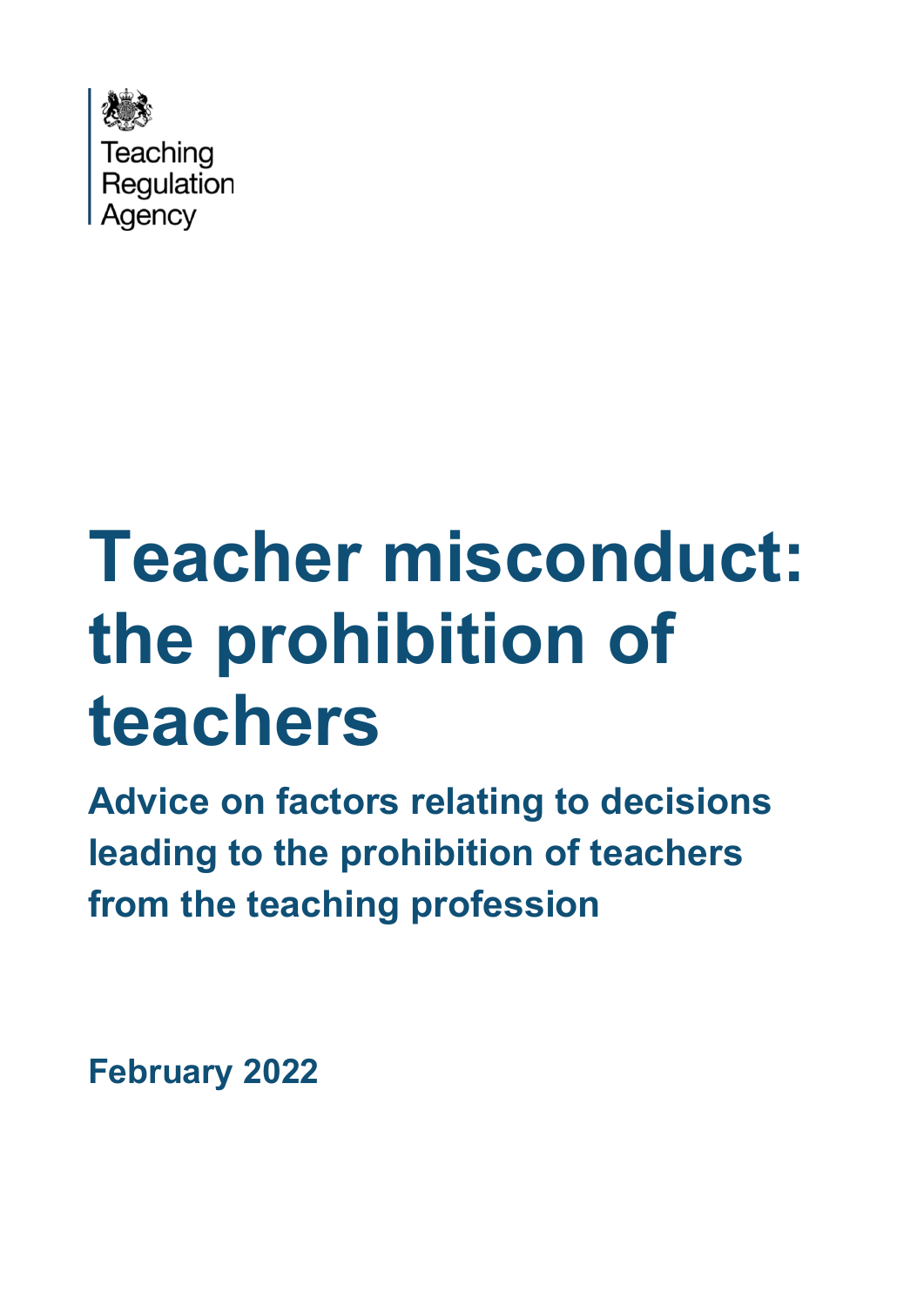

# **Teacher misconduct: the prohibition of teachers**

**Advice on factors relating to decisions leading to the prohibition of teachers from the teaching profession**

**February 2022**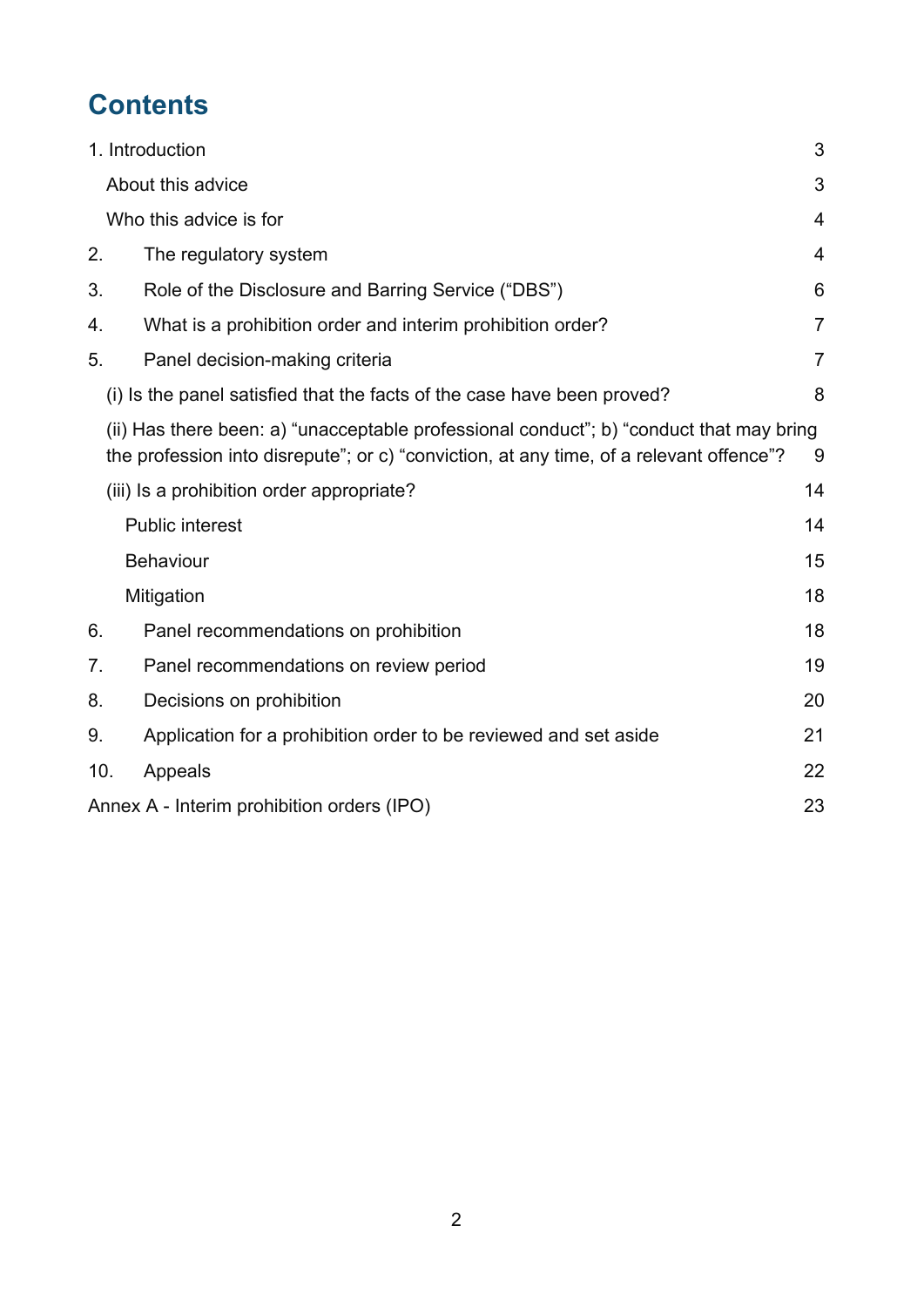# **Contents**

|     | 1. Introduction                                                                                                                                                                    | 3              |
|-----|------------------------------------------------------------------------------------------------------------------------------------------------------------------------------------|----------------|
|     | About this advice                                                                                                                                                                  | 3              |
|     | Who this advice is for                                                                                                                                                             | $\overline{4}$ |
| 2.  | The regulatory system                                                                                                                                                              | $\overline{4}$ |
| 3.  | Role of the Disclosure and Barring Service ("DBS")                                                                                                                                 | 6              |
| 4.  | What is a prohibition order and interim prohibition order?                                                                                                                         | $\overline{7}$ |
| 5.  | Panel decision-making criteria                                                                                                                                                     | $\overline{7}$ |
|     | (i) Is the panel satisfied that the facts of the case have been proved?                                                                                                            | 8              |
|     | (ii) Has there been: a) "unacceptable professional conduct"; b) "conduct that may bring<br>the profession into disrepute"; or c) "conviction, at any time, of a relevant offence"? | 9              |
|     | (iii) Is a prohibition order appropriate?                                                                                                                                          | 14             |
|     | <b>Public interest</b>                                                                                                                                                             | 14             |
|     | <b>Behaviour</b>                                                                                                                                                                   | 15             |
|     | Mitigation                                                                                                                                                                         | 18             |
| 6.  | Panel recommendations on prohibition                                                                                                                                               | 18             |
| 7.  | Panel recommendations on review period                                                                                                                                             | 19             |
| 8.  | Decisions on prohibition                                                                                                                                                           | 20             |
| 9.  | Application for a prohibition order to be reviewed and set aside                                                                                                                   | 21             |
| 10. | Appeals                                                                                                                                                                            | 22             |
|     | Annex A - Interim prohibition orders (IPO)                                                                                                                                         | 23             |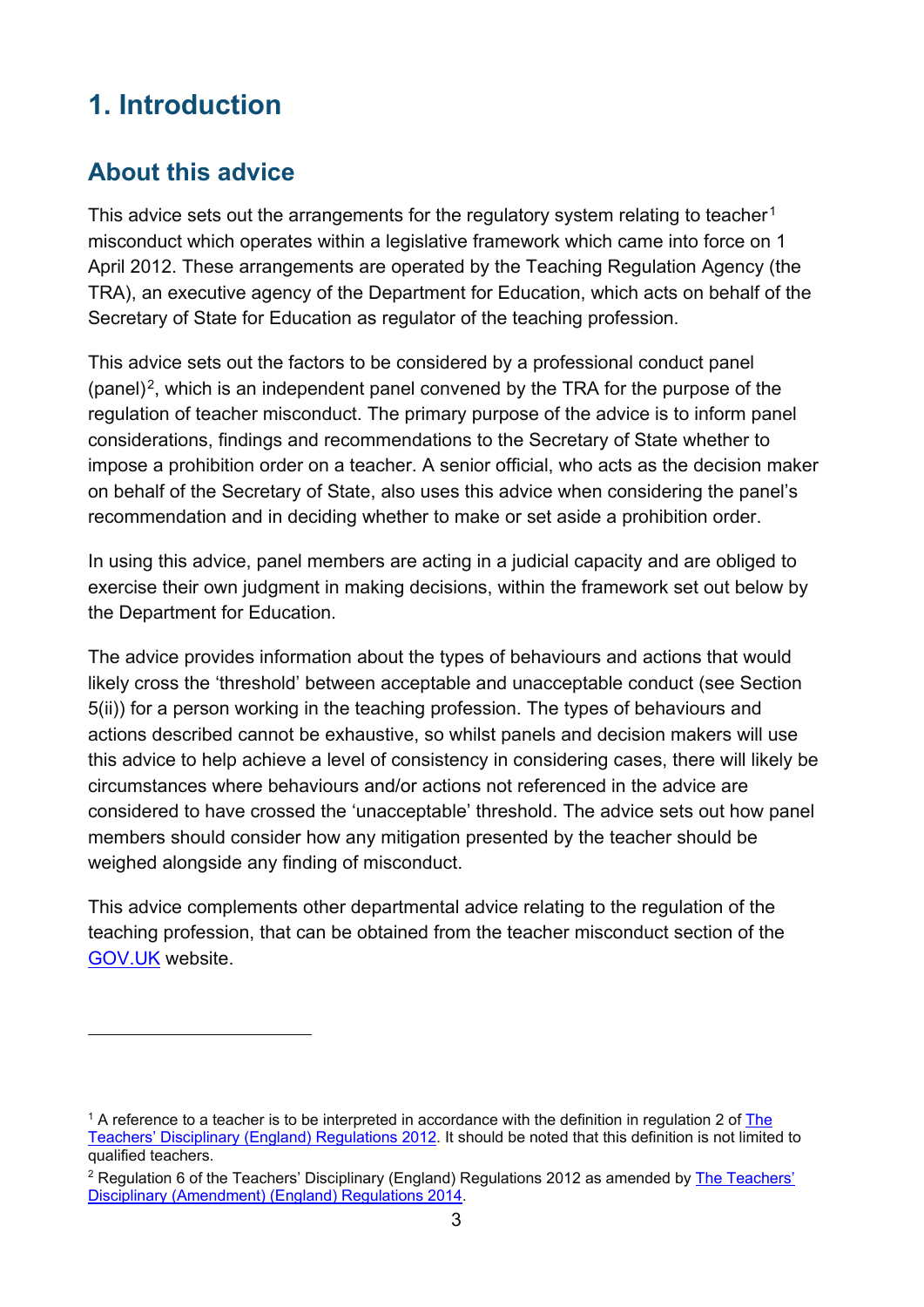# <span id="page-2-0"></span>**1. Introduction**

## <span id="page-2-1"></span>**About this advice**

This advice sets out the arrangements for the regulatory system relating to teacher<sup>[1](#page-2-2)</sup> misconduct which operates within a legislative framework which came into force on 1 April 2012. These arrangements are operated by the Teaching Regulation Agency (the TRA), an executive agency of the Department for Education, which acts on behalf of the Secretary of State for Education as regulator of the teaching profession.

This advice sets out the factors to be considered by a professional conduct panel  $(panel)^2$ , which is an independent panel convened by the TRA for the purpose of the regulation of teacher misconduct. The primary purpose of the advice is to inform panel considerations, findings and recommendations to the Secretary of State whether to impose a prohibition order on a teacher. A senior official, who acts as the decision maker on behalf of the Secretary of State, also uses this advice when considering the panel's recommendation and in deciding whether to make or set aside a prohibition order.

In using this advice, panel members are acting in a judicial capacity and are obliged to exercise their own judgment in making decisions, within the framework set out below by the Department for Education.

The advice provides information about the types of behaviours and actions that would likely cross the 'threshold' between acceptable and unacceptable conduct (see Section 5(ii)) for a person working in the teaching profession. The types of behaviours and actions described cannot be exhaustive, so whilst panels and decision makers will use this advice to help achieve a level of consistency in considering cases, there will likely be circumstances where behaviours and/or actions not referenced in the advice are considered to have crossed the 'unacceptable' threshold. The advice sets out how panel members should consider how any mitigation presented by the teacher should be weighed alongside any finding of misconduct.

This advice complements other departmental advice relating to the regulation of the teaching profession, that can be obtained from the teacher misconduct section of the [GOV.UK](https://www.gov.uk/guidance/teacher-misconduct-referring-a-case) website.

<span id="page-2-2"></span><sup>&</sup>lt;sup>1</sup> A reference to a teacher is to be interpreted in accordance with the definition in regulation 2 of The [Teachers' Disciplinary \(England\) Regulations 2012.](https://www.legislation.gov.uk/uksi/2012/560/contents/made) It should be noted that this definition is not limited to qualified teachers.

<span id="page-2-3"></span><sup>&</sup>lt;sup>2</sup> Regulation 6 of the Teachers' Disciplinary (England) Regulations 2012 as amended by **The Teachers'** [Disciplinary \(Amendment\) \(England\) Regulations 2014.](https://www.legislation.gov.uk/uksi/2014/1685/contents/made)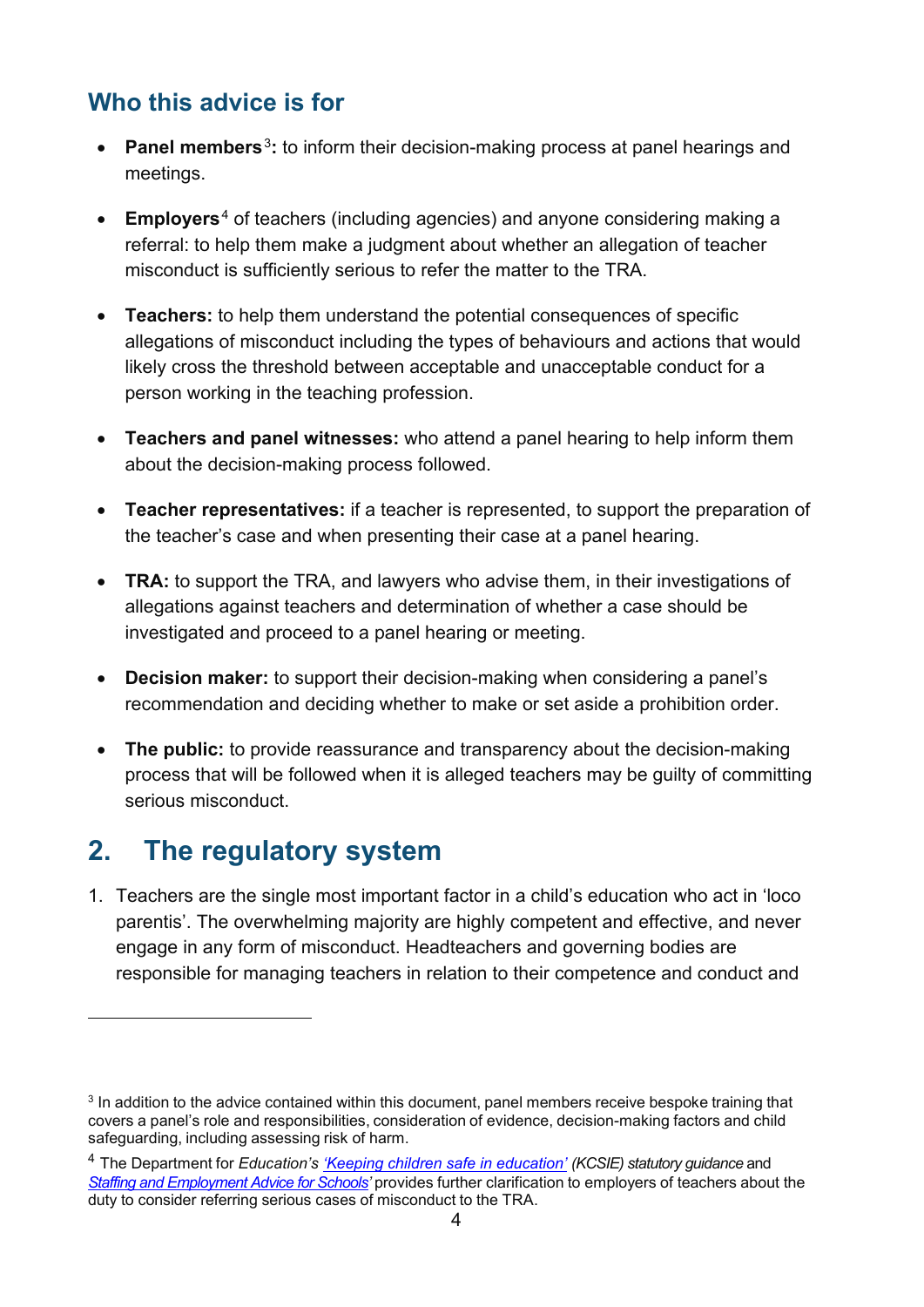## <span id="page-3-0"></span>**Who this advice is for**

- **Panel members**[3](#page-3-2)**:** to inform their decision-making process at panel hearings and meetings.
- **Employers**[4](#page-3-3) of teachers (including agencies) and anyone considering making a referral: to help them make a judgment about whether an allegation of teacher misconduct is sufficiently serious to refer the matter to the TRA.
- **Teachers:** to help them understand the potential consequences of specific allegations of misconduct including the types of behaviours and actions that would likely cross the threshold between acceptable and unacceptable conduct for a person working in the teaching profession.
- **Teachers and panel witnesses:** who attend a panel hearing to help inform them about the decision-making process followed.
- **Teacher representatives:** if a teacher is represented, to support the preparation of the teacher's case and when presenting their case at a panel hearing.
- **TRA:** to support the TRA, and lawyers who advise them, in their investigations of allegations against teachers and determination of whether a case should be investigated and proceed to a panel hearing or meeting.
- **Decision maker:** to support their decision-making when considering a panel's recommendation and deciding whether to make or set aside a prohibition order.
- **The public:** to provide reassurance and transparency about the decision-making process that will be followed when it is alleged teachers may be guilty of committing serious misconduct.

# <span id="page-3-1"></span>**2. The regulatory system**

1. Teachers are the single most important factor in a child's education who act in 'loco parentis'. The overwhelming majority are highly competent and effective, and never engage in any form of misconduct. Headteachers and governing bodies are responsible for managing teachers in relation to their competence and conduct and

<span id="page-3-2"></span><sup>&</sup>lt;sup>3</sup> In addition to the advice contained within this document, panel members receive bespoke training that covers a panel's role and responsibilities, consideration of evidence, decision-making factors and child safeguarding, including assessing risk of harm.

<span id="page-3-3"></span><sup>4</sup> The Department for *Education's ['Keeping children safe in education'](https://www.gov.uk/government/publications/keeping-children-safe-in-education--2) (KCSIE) statutory guidance* and *[Staffing and Employment Advice for Schools'](https://www.gov.uk/government/publications/staffing-and-employment-advice-for-schools)* provides further clarification to employers of teachers about the duty to consider referring serious cases of misconduct to the TRA.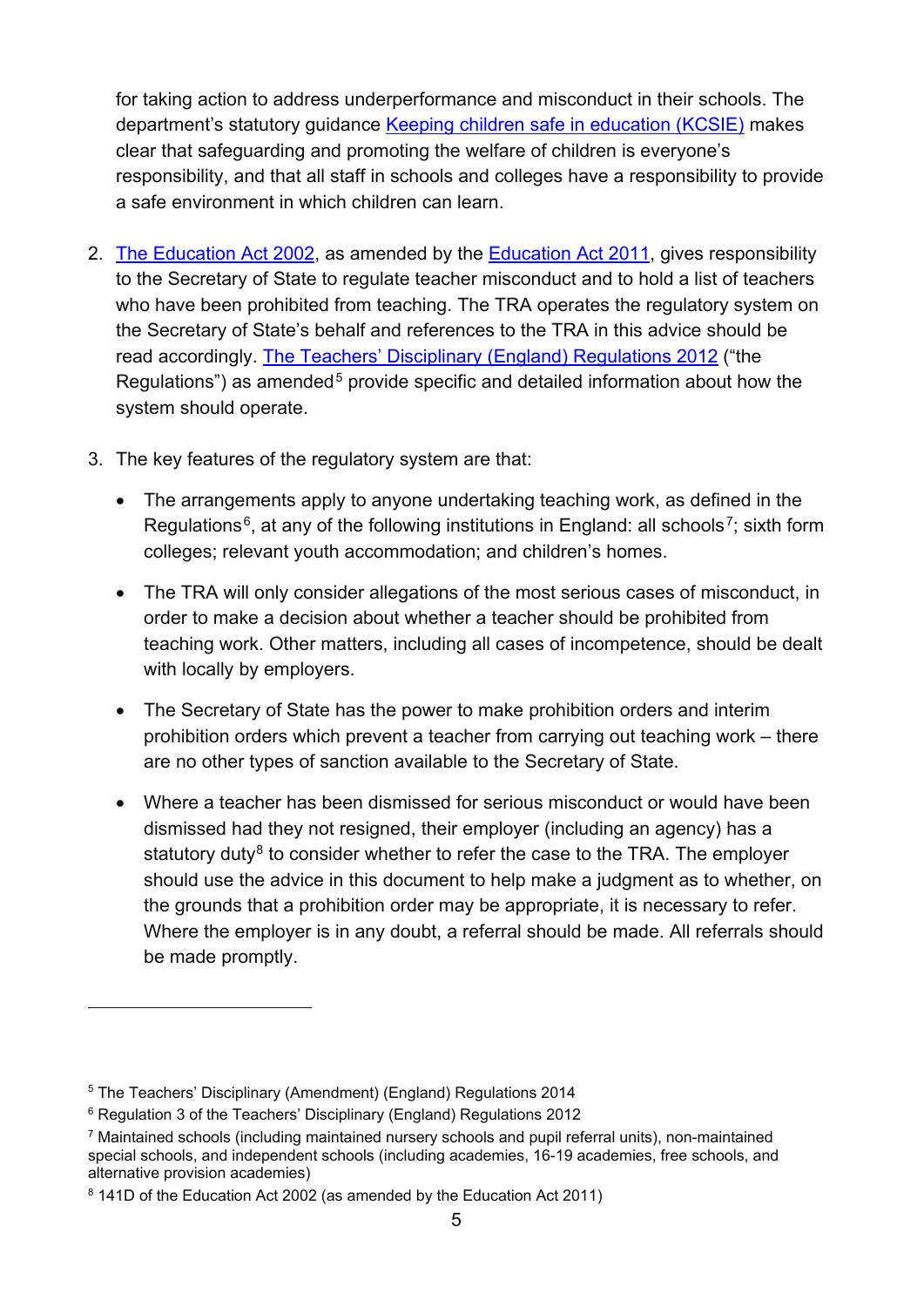for taking action to address underperformance and misconduct in their schools. The department's statutory guidance [Keeping children safe in education \(KCSIE\)](https://www.gov.uk/government/publications/keeping-children-safe-in-education--2) makes clear that safeguarding and promoting the welfare of children is everyone's responsibility, and that all staff in schools and colleges have a responsibility to provide a safe environment in which children can learn.

- 2. [The Education Act 2002,](https://www.legislation.gov.uk/ukpga/2002/32/contents) as amended by the [Education Act 2011,](https://www.legislation.gov.uk/ukpga/2011/21/contents) gives responsibility to the Secretary of State to regulate teacher misconduct and to hold a list of teachers who have been prohibited from teaching. The TRA operates the regulatory system on the Secretary of State's behalf and references to the TRA in this advice should be read accordingly. [The Teachers' Disciplinary \(England\) Regulations](https://www.legislation.gov.uk/uksi/2012/560/contents/made) 2012 ("the Regulations") as amended<sup>[5](#page-4-0)</sup> provide specific and detailed information about how the system should operate.
- 3. The key features of the regulatory system are that:
	- The arrangements apply to anyone undertaking teaching work, as defined in the Regulations<sup>6</sup>, at any of the following institutions in England: all schools<sup>7</sup>; sixth form colleges; relevant youth accommodation; and children's homes.
	- The TRA will only consider allegations of the most serious cases of misconduct, in order to make a decision about whether a teacher should be prohibited from teaching work. Other matters, including all cases of incompetence, should be dealt with locally by employers.
	- The Secretary of State has the power to make prohibition orders and interim prohibition orders which prevent a teacher from carrying out teaching work – there are no other types of sanction available to the Secretary of State.
	- Where a teacher has been dismissed for serious misconduct or would have been dismissed had they not resigned, their employer (including an agency) has a statutory duty<sup>[8](#page-4-3)</sup> to consider whether to refer the case to the TRA. The employer should use the advice in this document to help make a judgment as to whether, on the grounds that a prohibition order may be appropriate, it is necessary to refer. Where the employer is in any doubt, a referral should be made. All referrals should be made promptly.

<span id="page-4-0"></span><sup>5</sup> The Teachers' Disciplinary (Amendment) (England) Regulations 2014

<span id="page-4-1"></span><sup>&</sup>lt;sup>6</sup> Regulation 3 of the Teachers' Disciplinary (England) Regulations 2012

<span id="page-4-2"></span><sup>7</sup> Maintained schools (including maintained nursery schools and pupil referral units), non-maintained special schools, and independent schools (including academies, 16-19 academies, free schools, and alternative provision academies)

<span id="page-4-3"></span><sup>&</sup>lt;sup>8</sup> 141D of the Education Act 2002 (as amended by the Education Act 2011)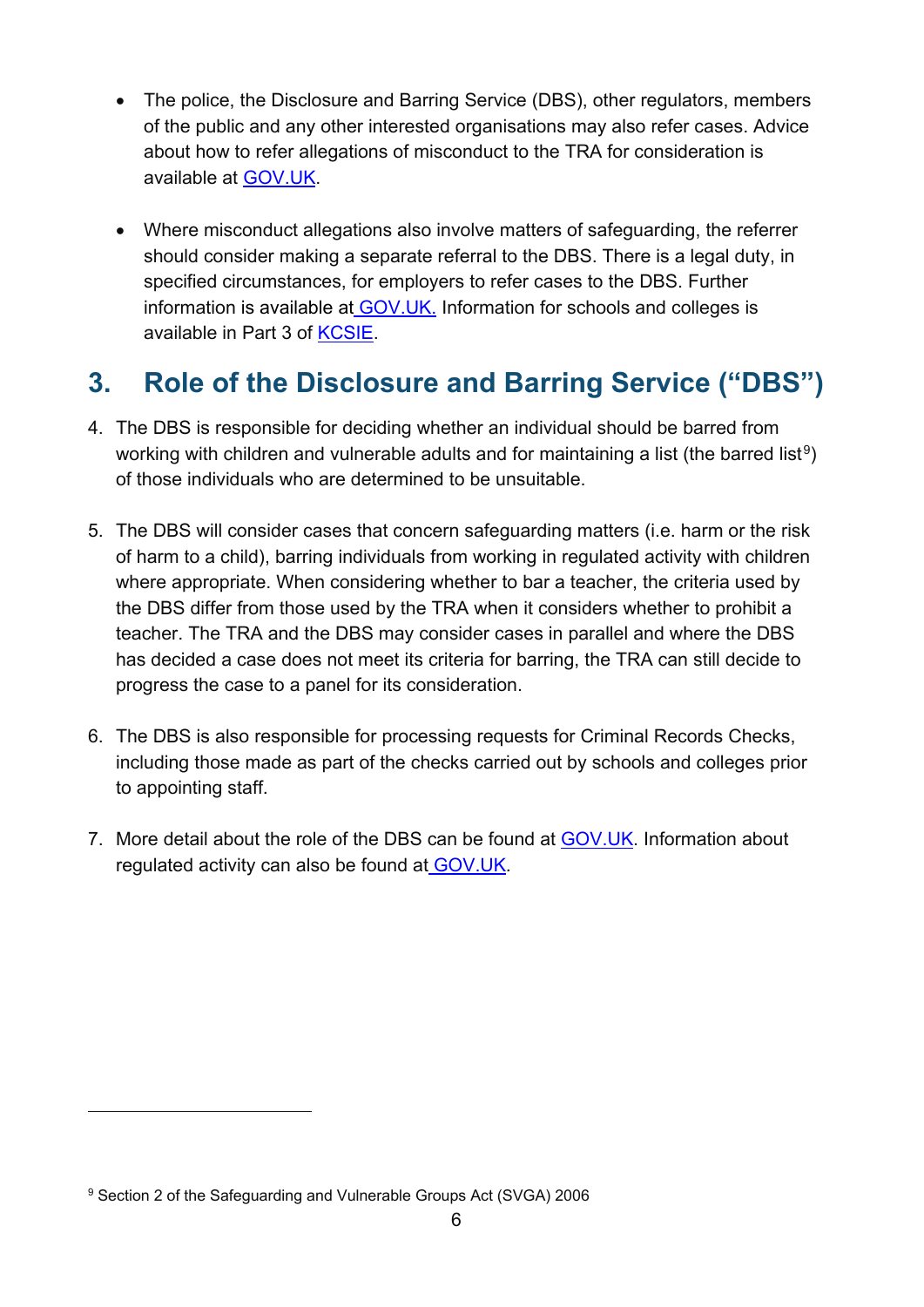- The police, the Disclosure and Barring Service (DBS), other regulators, members of the public and any other interested organisations may also refer cases. Advice about how to refer allegations of misconduct to the TRA for consideration is available at [GOV.UK.](https://www.gov.uk/guidance/teacher-misconduct-referring-a-case)
- Where misconduct allegations also involve matters of safeguarding, the referrer should consider making a separate referral to the DBS. There is a legal duty, in specified circumstances, for employers to refer cases to the DBS. Further information is available at [GOV.UK.](https://www.gov.uk/guidance/making-barring-referrals-to-the-dbs#who-has-a-legal-duty-to-refer) Information for schools and colleges is available in Part 3 of [KCSIE.](https://www.gov.uk/government/publications/keeping-children-safe-in-education--2)

# <span id="page-5-0"></span>**3. Role of the Disclosure and Barring Service ("DBS")**

- 4. The DBS is responsible for deciding whether an individual should be barred from working with children and vulnerable adults and for maintaining a list (the barred list<sup>[9](#page-5-1)</sup>) of those individuals who are determined to be unsuitable.
- 5. The DBS will consider cases that concern safeguarding matters (i.e. harm or the risk of harm to a child), barring individuals from working in regulated activity with children where appropriate. When considering whether to bar a teacher, the criteria used by the DBS differ from those used by the TRA when it considers whether to prohibit a teacher. The TRA and the DBS may consider cases in parallel and where the DBS has decided a case does not meet its criteria for barring, the TRA can still decide to progress the case to a panel for its consideration.
- 6. The DBS is also responsible for processing requests for Criminal Records Checks, including those made as part of the checks carried out by schools and colleges prior to appointing staff.
- 7. More detail about the role of the DBS can be found at [GOV.UK.](https://www.gov.uk/government/organisations/disclosure-and-barring-service/about) Information about regulated activity can also be found at [GOV.UK.](https://assets.publishing.service.gov.uk/government/uploads/system/uploads/attachment_data/file/550197/Regulated_activity_in_relation_to_children.pdf)

<span id="page-5-1"></span><sup>9</sup> Section 2 of the Safeguarding and Vulnerable Groups Act (SVGA) 2006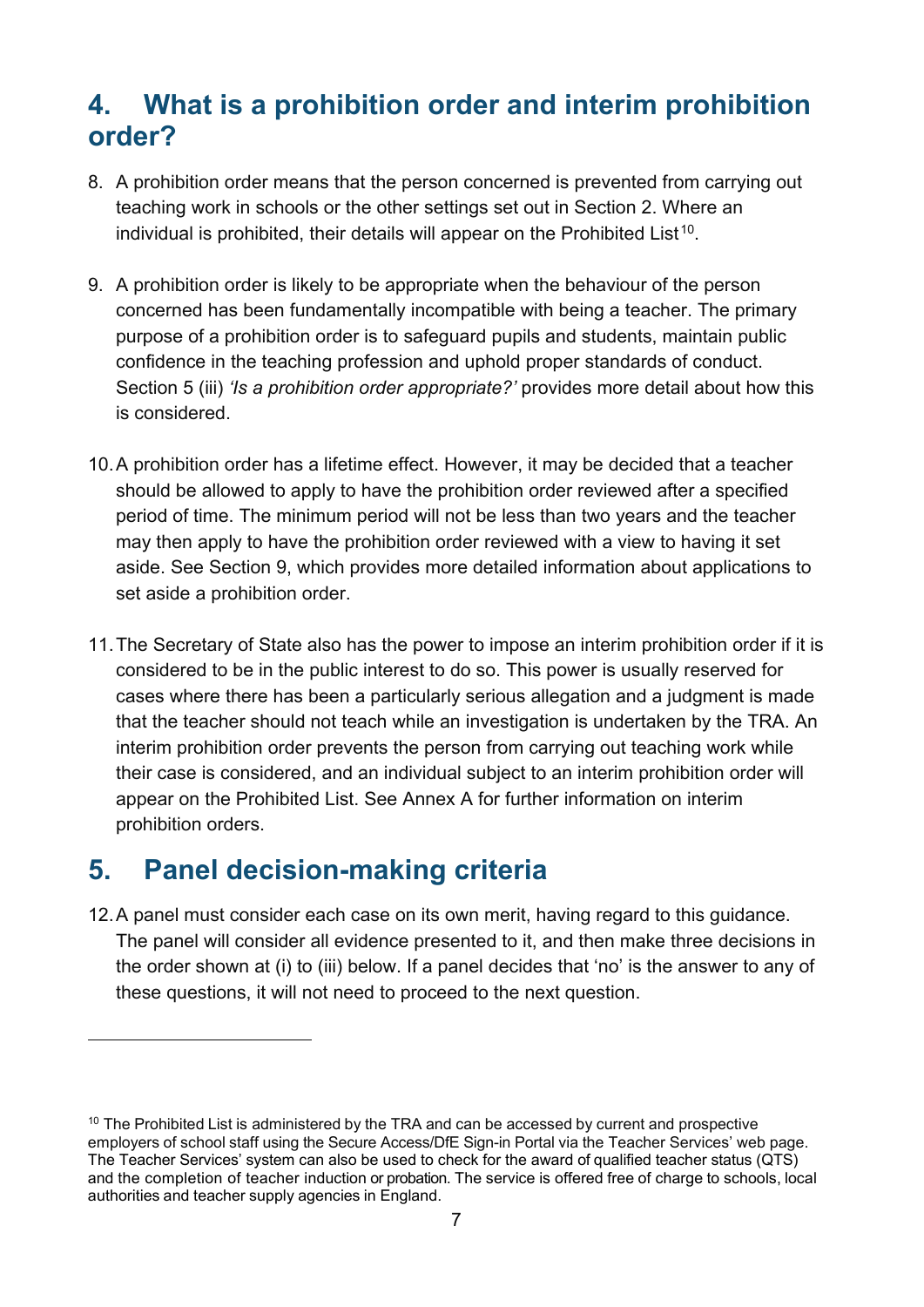## <span id="page-6-0"></span>**4. What is a prohibition order and interim prohibition order?**

- 8. A prohibition order means that the person concerned is prevented from carrying out teaching work in schools or the other settings set out in Section 2. Where an individual is prohibited, their details will appear on the Prohibited List<sup>[10](#page-6-2)</sup>.
- 9. A prohibition order is likely to be appropriate when the behaviour of the person concerned has been fundamentally incompatible with being a teacher. The primary purpose of a prohibition order is to safeguard pupils and students, maintain public confidence in the teaching profession and uphold proper standards of conduct. Section 5 (iii) *'Is a prohibition order appropriate?'* provides more detail about how this is considered.
- 10.A prohibition order has a lifetime effect. However, it may be decided that a teacher should be allowed to apply to have the prohibition order reviewed after a specified period of time. The minimum period will not be less than two years and the teacher may then apply to have the prohibition order reviewed with a view to having it set aside. See Section 9, which provides more detailed information about applications to set aside a prohibition order.
- 11.The Secretary of State also has the power to impose an interim prohibition order if it is considered to be in the public interest to do so. This power is usually reserved for cases where there has been a particularly serious allegation and a judgment is made that the teacher should not teach while an investigation is undertaken by the TRA. An interim prohibition order prevents the person from carrying out teaching work while their case is considered, and an individual subject to an interim prohibition order will appear on the Prohibited List. See Annex A for further information on interim prohibition orders.

## <span id="page-6-1"></span>**5. Panel decision-making criteria**

12.A panel must consider each case on its own merit, having regard to this guidance. The panel will consider all evidence presented to it, and then make three decisions in the order shown at (i) to (iii) below. If a panel decides that 'no' is the answer to any of these questions, it will not need to proceed to the next question.

<span id="page-6-2"></span><sup>&</sup>lt;sup>10</sup> The Prohibited List is administered by the TRA and can be accessed by current and prospective employers of school staff using the Secure Access/DfE Sign-in Portal via the Teacher Services' web page[.](https://sa.education.gov.uk/ui/home) The Teacher Services' system can also be used to check for the award of qualified teacher status (QTS) and the completion of teacher induction or probation. The service is offered free of charge to schools, local authorities and teacher supply agencies in England.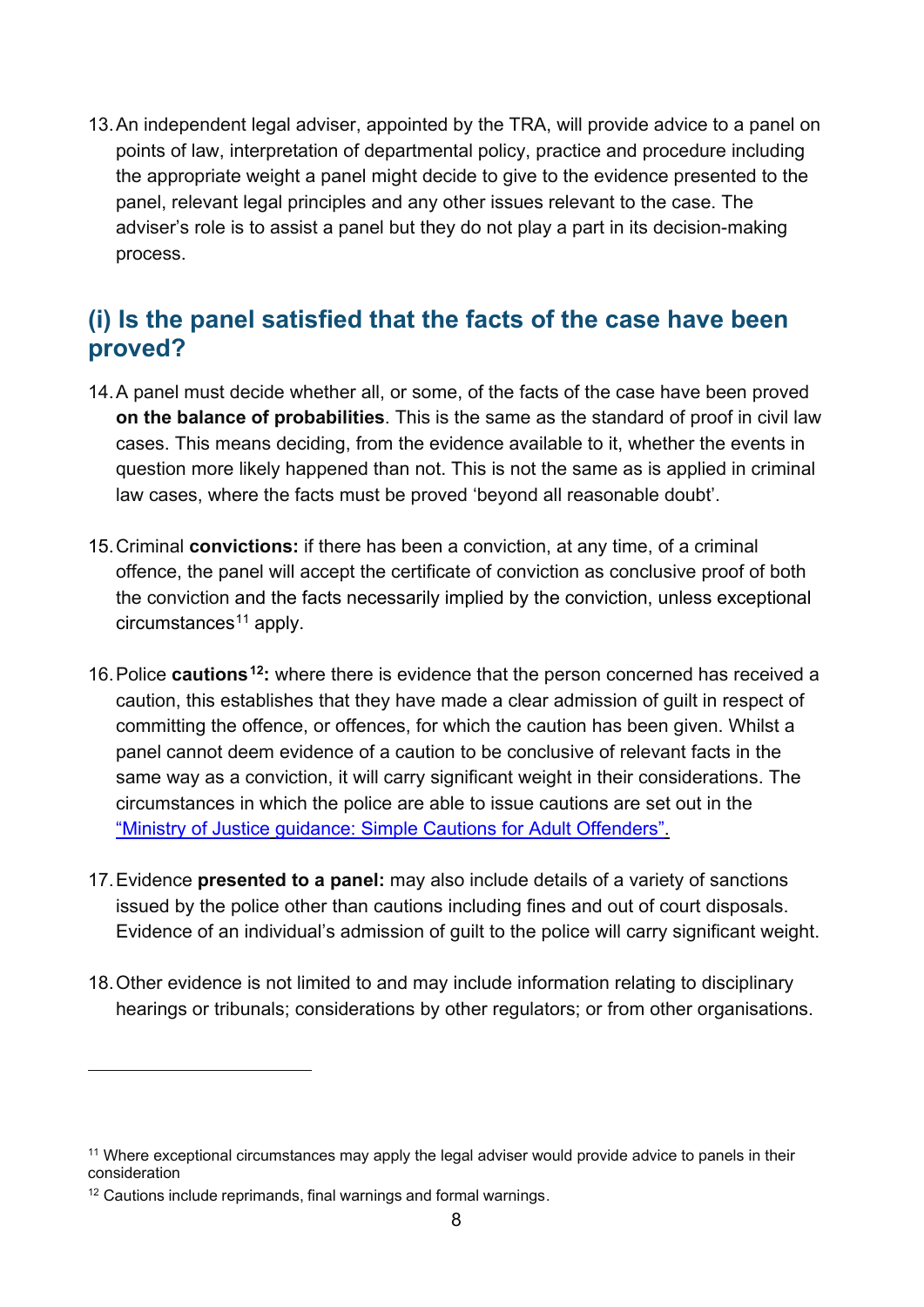13.An independent legal adviser, appointed by the TRA, will provide advice to a panel on points of law, interpretation of departmental policy, practice and procedure including the appropriate weight a panel might decide to give to the evidence presented to the panel, relevant legal principles and any other issues relevant to the case. The adviser's role is to assist a panel but they do not play a part in its decision-making process.

## <span id="page-7-0"></span>**(i) Is the panel satisfied that the facts of the case have been proved?**

- 14.A panel must decide whether all, or some, of the facts of the case have been proved **on the balance of probabilities**. This is the same as the standard of proof in civil law cases. This means deciding, from the evidence available to it, whether the events in question more likely happened than not. This is not the same as is applied in criminal law cases, where the facts must be proved 'beyond all reasonable doubt'.
- 15.Criminal **convictions:** if there has been a conviction, at any time, of a criminal offence, the panel will accept the certificate of conviction as conclusive proof of both the conviction and the facts necessarily implied by the conviction, unless exceptional  $circumstances<sup>11</sup>$  $circumstances<sup>11</sup>$  $circumstances<sup>11</sup>$  apply.
- 16.Police **cautions[12:](#page-7-2)** where there is evidence that the person concerned has received a caution, this establishes that they have made a clear admission of guilt in respect of committing the offence, or offences, for which the caution has been given. Whilst a panel cannot deem evidence of a caution to be conclusive of relevant facts in the same way as a conviction, it will carry significant weight in their considerations. The circumstances in which the police are able to issue cautions are set out in the ["Ministry of Justice](http://www.justice.gov.uk/downloads/oocd/adult-simple-caution-guidance-oocd.pdf) [guidance: Simple Cautions for Adult Offenders".](http://www.justice.gov.uk/downloads/oocd/adult-simple-caution-guidance-oocd.pdf)
- 17.Evidence **presented to a panel:** may also include details of a variety of sanctions issued by the police other than cautions including fines and out of court disposals. Evidence of an individual's admission of guilt to the police will carry significant weight.
- 18.Other evidence is not limited to and may include information relating to disciplinary hearings or tribunals; considerations by other regulators; or from other organisations.

<span id="page-7-1"></span><sup>&</sup>lt;sup>11</sup> Where exceptional circumstances may apply the legal adviser would provide advice to panels in their consideration

<span id="page-7-2"></span><sup>&</sup>lt;sup>12</sup> Cautions include reprimands, final warnings and formal warnings.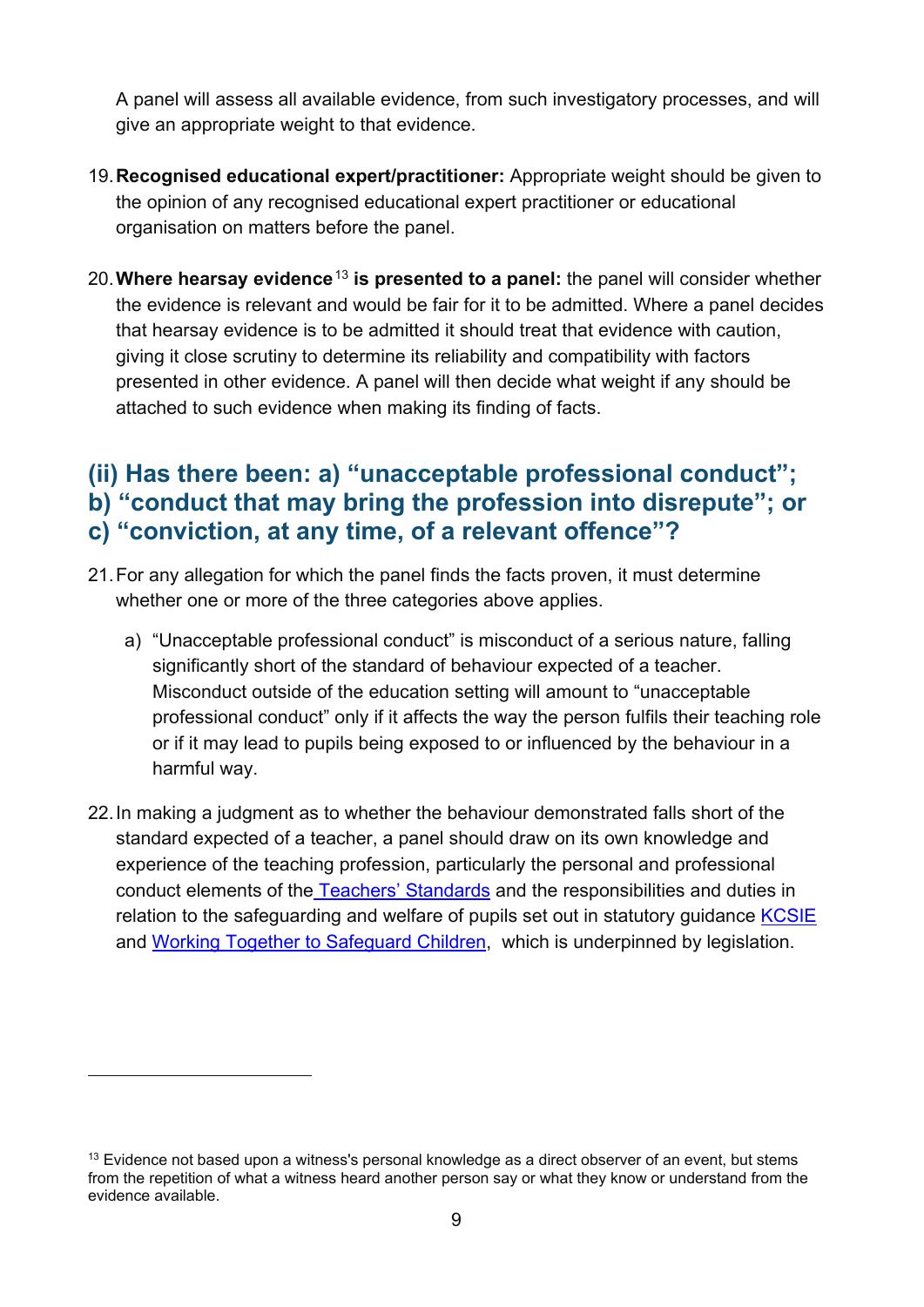A panel will assess all available evidence, from such investigatory processes, and will give an appropriate weight to that evidence.

- 19.**Recognised educational expert/practitioner:** Appropriate weight should be given to the opinion of any recognised educational expert practitioner or educational organisation on matters before the panel.
- 20.**Where hearsay evidence**[13](#page-8-1) **is presented to a panel:** the panel will consider whether the evidence is relevant and would be fair for it to be admitted. Where a panel decides that hearsay evidence is to be admitted it should treat that evidence with caution, giving it close scrutiny to determine its reliability and compatibility with factors presented in other evidence. A panel will then decide what weight if any should be attached to such evidence when making its finding of facts.

## <span id="page-8-0"></span>**(ii) Has there been: a) "unacceptable professional conduct"; b) "conduct that may bring the profession into disrepute"; or c) "conviction, at any time, of a relevant offence"?**

- 21.For any allegation for which the panel finds the facts proven, it must determine whether one or more of the three categories above applies.
	- a) "Unacceptable professional conduct" is misconduct of a serious nature, falling significantly short of the standard of behaviour expected of a teacher. Misconduct outside of the education setting will amount to "unacceptable professional conduct" only if it affects the way the person fulfils their teaching role or if it may lead to pupils being exposed to or influenced by the behaviour in a harmful way.
- 22.In making a judgment as to whether the behaviour demonstrated falls short of the standard expected of a teacher, a panel should draw on its own knowledge and experience of the teaching profession, particularly the personal and professional conduct elements of the [Teachers' Standards](https://www.gov.uk/government/publications/teachers-standards) and the responsibilities and duties in relation to the safeguarding and welfare of pupils set out in statutory guidance [KCSIE](https://www.gov.uk/government/publications/keeping-children-safe-in-education--2) and [Working Together to Safeguard Children,](https://www.gov.uk/government/publications/working-together-to-safeguard-children--2) which is underpinned by legislation.

<span id="page-8-1"></span> $13$  Evidence not based upon a witness's personal knowledge as a direct observer of an event, but stems from the repetition of what a witness heard another person say or what they know or understand from the evidence available.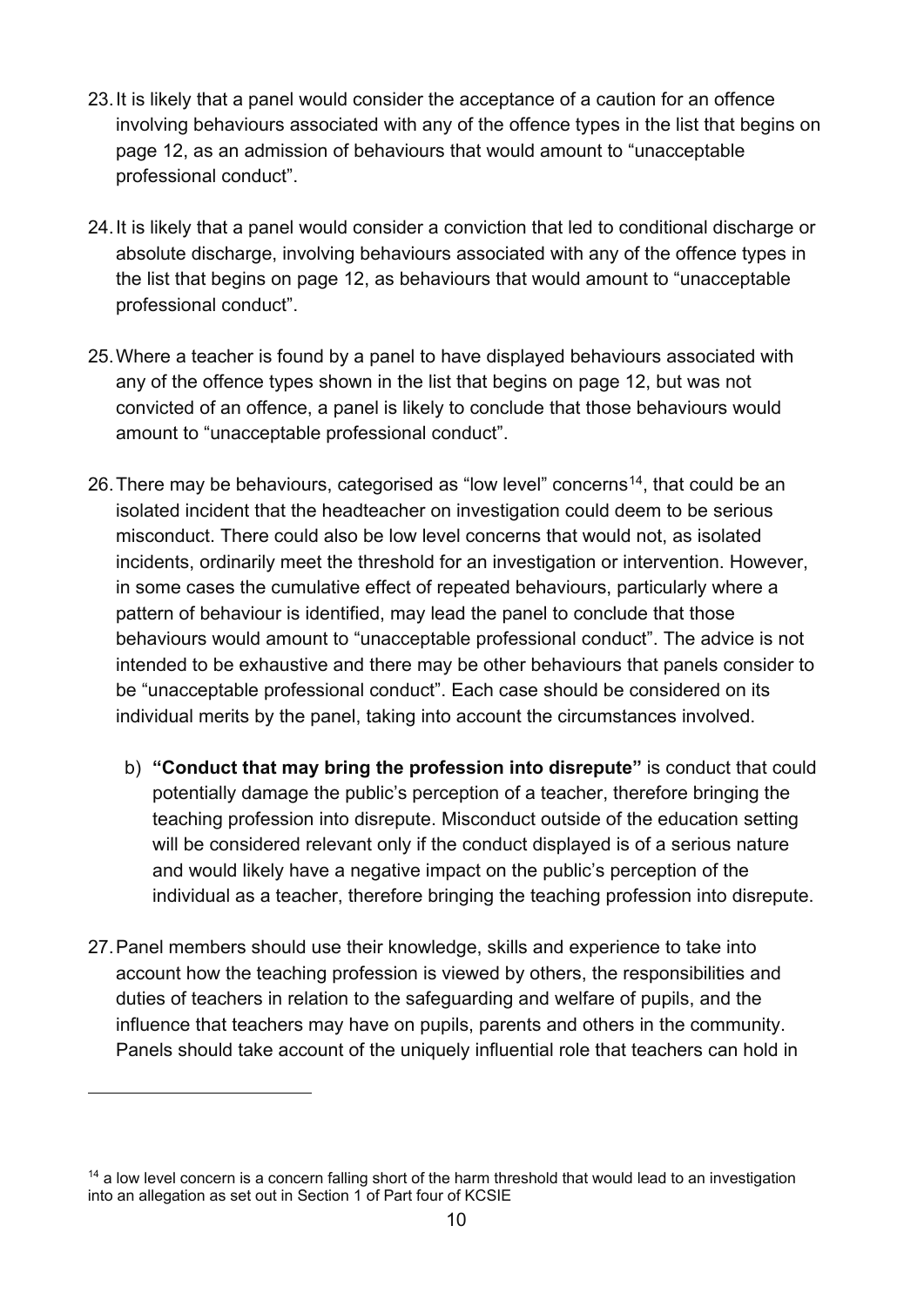- 23.It is likely that a panel would consider the acceptance of a caution for an offence involving behaviours associated with any of the offence types in the list that begins on page 12, as an admission of behaviours that would amount to "unacceptable professional conduct".
- 24.It is likely that a panel would consider a conviction that led to conditional discharge or absolute discharge, involving behaviours associated with any of the offence types in the list that begins on page 12, as behaviours that would amount to "unacceptable professional conduct".
- 25.Where a teacher is found by a panel to have displayed behaviours associated with any of the offence types shown in the list that begins on page 12, but was not convicted of an offence, a panel is likely to conclude that those behaviours would amount to "unacceptable professional conduct".
- 26. There may be behaviours, categorised as "low level" concerns<sup>[14](#page-9-0)</sup>, that could be an isolated incident that the headteacher on investigation could deem to be serious misconduct. There could also be low level concerns that would not, as isolated incidents, ordinarily meet the threshold for an investigation or intervention. However, in some cases the cumulative effect of repeated behaviours, particularly where a pattern of behaviour is identified, may lead the panel to conclude that those behaviours would amount to "unacceptable professional conduct". The advice is not intended to be exhaustive and there may be other behaviours that panels consider to be "unacceptable professional conduct". Each case should be considered on its individual merits by the panel, taking into account the circumstances involved.
	- b) **"Conduct that may bring the profession into disrepute"** is conduct that could potentially damage the public's perception of a teacher, therefore bringing the teaching profession into disrepute. Misconduct outside of the education setting will be considered relevant only if the conduct displayed is of a serious nature and would likely have a negative impact on the public's perception of the individual as a teacher, therefore bringing the teaching profession into disrepute.
- 27.Panel members should use their knowledge, skills and experience to take into account how the teaching profession is viewed by others, the responsibilities and duties of teachers in relation to the safeguarding and welfare of pupils, and the influence that teachers may have on pupils, parents and others in the community. Panels should take account of the uniquely influential role that teachers can hold in

<span id="page-9-0"></span><sup>&</sup>lt;sup>14</sup> a low level concern is a concern falling short of the harm threshold that would lead to an investigation into an allegation as set out in Section 1 of Part four of KCSIE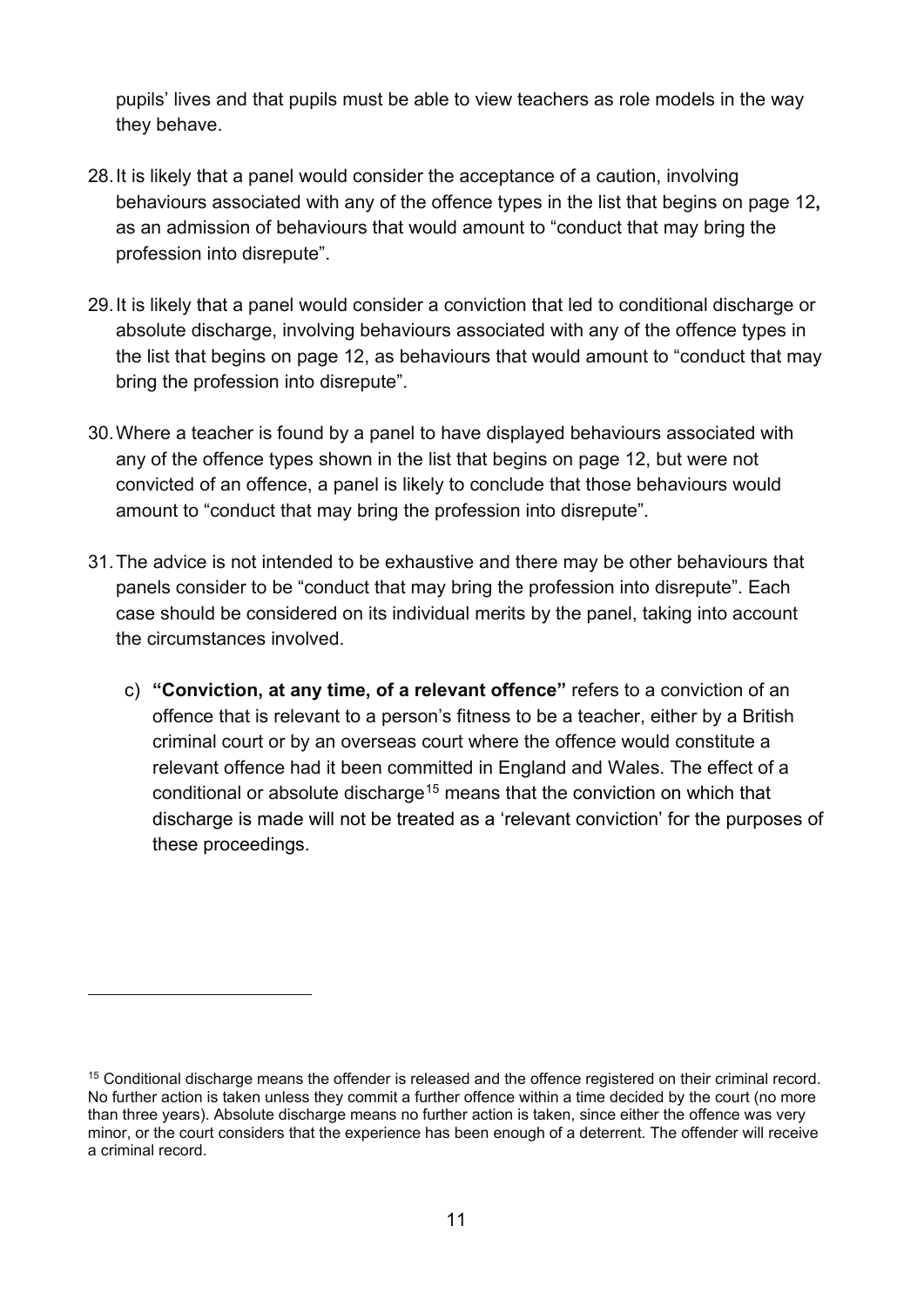pupils' lives and that pupils must be able to view teachers as role models in the way they behave.

- 28.It is likely that a panel would consider the acceptance of a caution, involving behaviours associated with any of the offence types in the list that begins on page 12**,** as an admission of behaviours that would amount to "conduct that may bring the profession into disrepute".
- 29.It is likely that a panel would consider a conviction that led to conditional discharge or absolute discharge, involving behaviours associated with any of the offence types in the list that begins on page 12, as behaviours that would amount to "conduct that may bring the profession into disrepute".
- 30.Where a teacher is found by a panel to have displayed behaviours associated with any of the offence types shown in the list that begins on page 12, but were not convicted of an offence, a panel is likely to conclude that those behaviours would amount to "conduct that may bring the profession into disrepute".
- 31.The advice is not intended to be exhaustive and there may be other behaviours that panels consider to be "conduct that may bring the profession into disrepute". Each case should be considered on its individual merits by the panel, taking into account the circumstances involved.
	- c) **"Conviction, at any time, of a relevant offence"** refers to a conviction of an offence that is relevant to a person's fitness to be a teacher, either by a British criminal court or by an overseas court where the offence would constitute a relevant offence had it been committed in England and Wales. The effect of a conditional or absolute discharge<sup>[15](#page-10-0)</sup> means that the conviction on which that discharge is made will not be treated as a 'relevant conviction' for the purposes of these proceedings.

<span id="page-10-0"></span><sup>15</sup> Conditional discharge means the offender is released and the offence registered on their criminal record. No further action is taken unless they commit a further offence within a time decided by the court (no more than three years). Absolute discharge means no further action is taken, since either the offence was very minor, or the court considers that the experience has been enough of a deterrent. The offender will receive a criminal record.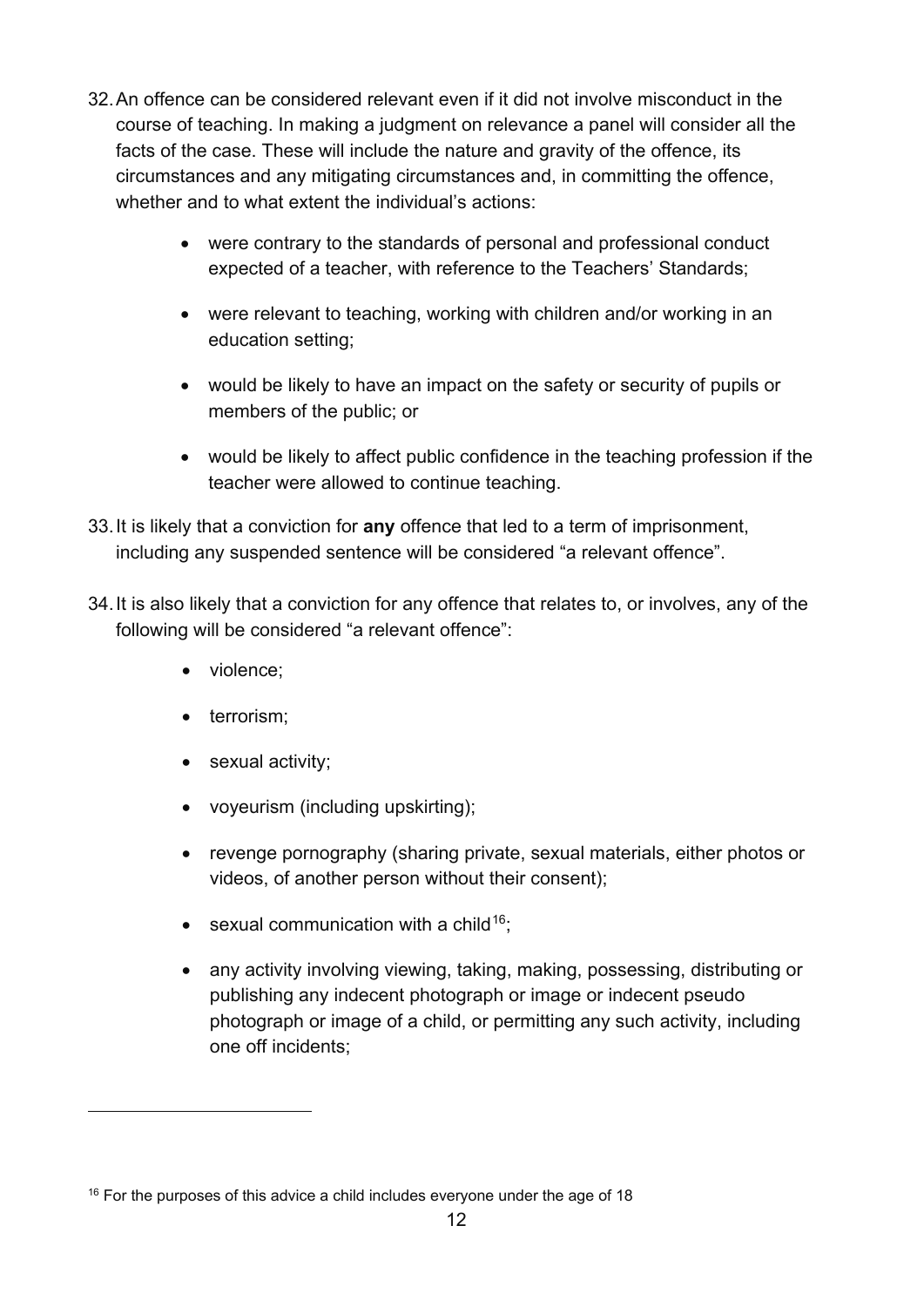- 32.An offence can be considered relevant even if it did not involve misconduct in the course of teaching. In making a judgment on relevance a panel will consider all the facts of the case. These will include the nature and gravity of the offence, its circumstances and any mitigating circumstances and, in committing the offence, whether and to what extent the individual's actions:
	- were contrary to the standards of personal and professional conduct expected of a teacher, with reference to the Teachers' Standards;
	- were relevant to teaching, working with children and/or working in an education setting;
	- would be likely to have an impact on the safety or security of pupils or members of the public; or
	- would be likely to affect public confidence in the teaching profession if the teacher were allowed to continue teaching.
- 33.It is likely that a conviction for **any** offence that led to a term of imprisonment, including any suspended sentence will be considered "a relevant offence".
- 34.It is also likely that a conviction for any offence that relates to, or involves, any of the following will be considered "a relevant offence":
	- violence;
	- terrorism;
	- sexual activity;
	- voyeurism (including upskirting);
	- revenge pornography (sharing private, sexual materials, either photos or videos, of another person without their consent);
	- sexual communication with a child<sup>16</sup>;
	- any activity involving viewing, taking, making, possessing, distributing or publishing any indecent photograph or image or indecent pseudo photograph or image of a child, or permitting any such activity, including one off incidents;

 $16$  For the purposes of this advice a child includes everyone under the age of 18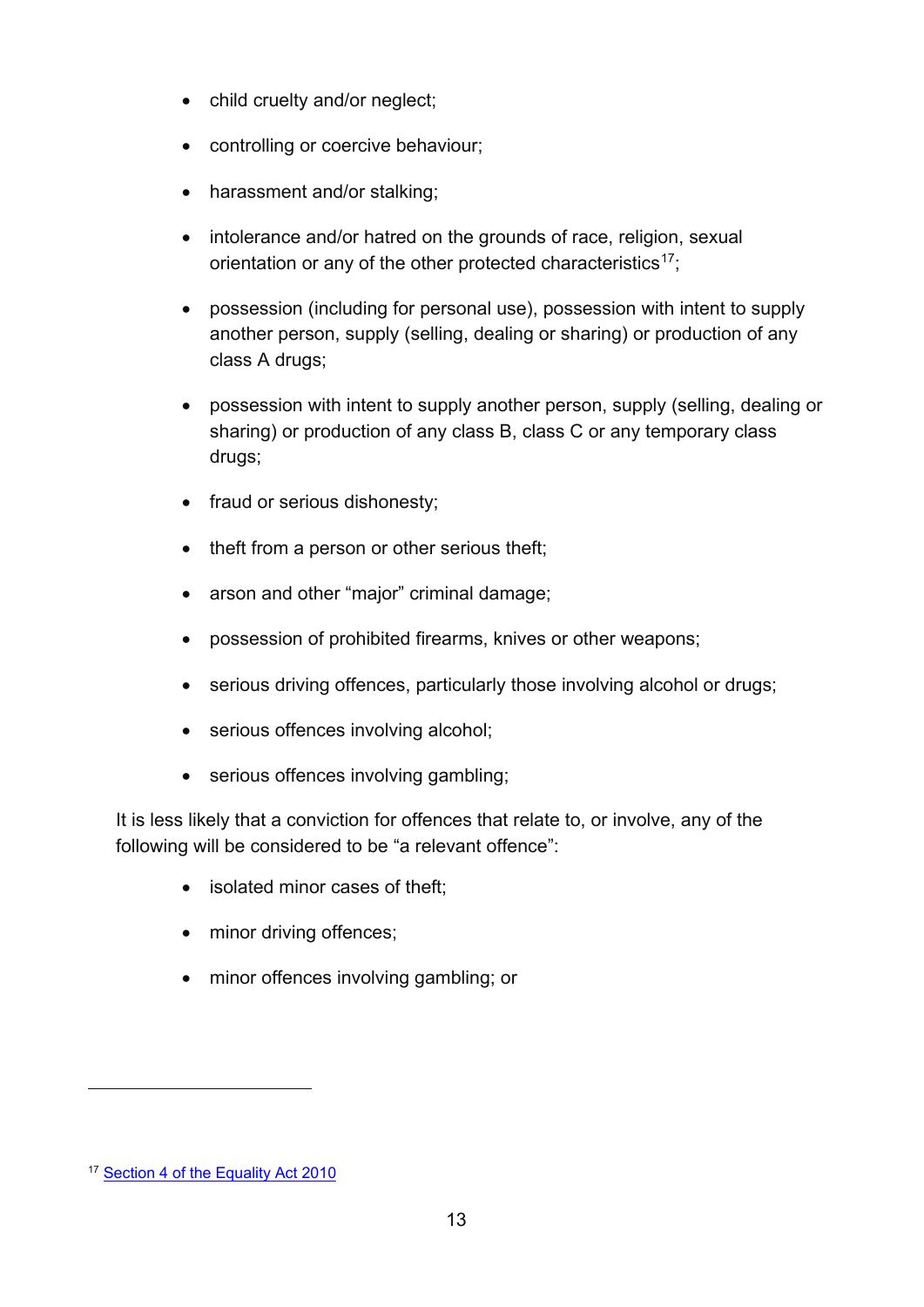- child cruelty and/or neglect;
- controlling or coercive behaviour;
- harassment and/or stalking;
- intolerance and/or hatred on the grounds of race, religion, sexual orientation or any of the other protected characteristics<sup>17</sup>;
- possession (including for personal use), possession with intent to supply another person, supply (selling, dealing or sharing) or production of any class A drugs;
- possession with intent to supply another person, supply (selling, dealing or sharing) or production of any class B, class C or any temporary class drugs;
- fraud or serious dishonesty;
- theft from a person or other serious theft;
- arson and other "major" criminal damage;
- possession of prohibited firearms, knives or other weapons;
- serious driving offences, particularly those involving alcohol or drugs;
- serious offences involving alcohol;
- serious offences involving gambling;

It is less likely that a conviction for offences that relate to, or involve, any of the following will be considered to be "a relevant offence":

- isolated minor cases of theft;
- minor driving offences;
- minor offences involving gambling; or

<sup>&</sup>lt;sup>17</sup> [Section 4 of the Equality](https://www.equalityhumanrights.com/en/equality-act/protected-characteristics) Act 2010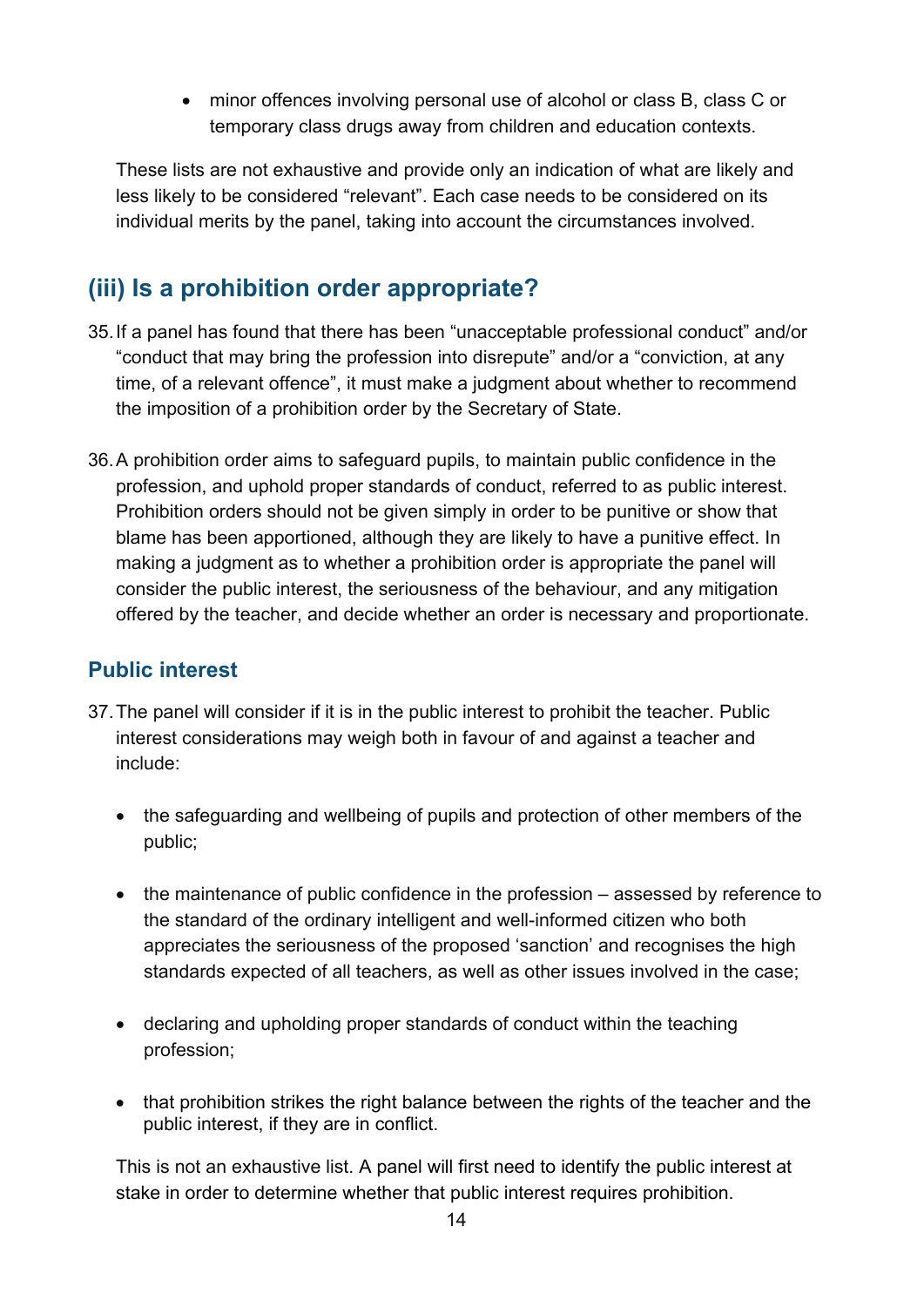• minor offences involving personal use of alcohol or class B, class C or temporary class drugs away from children and education contexts.

These lists are not exhaustive and provide only an indication of what are likely and less likely to be considered "relevant". Each case needs to be considered on its individual merits by the panel, taking into account the circumstances involved.

## <span id="page-13-0"></span>**(iii) Is a prohibition order appropriate?**

- 35.If a panel has found that there has been "unacceptable professional conduct" and/or "conduct that may bring the profession into disrepute" and/or a "conviction, at any time, of a relevant offence", it must make a judgment about whether to recommend the imposition of a prohibition order by the Secretary of State.
- 36.A prohibition order aims to safeguard pupils, to maintain public confidence in the profession, and uphold proper standards of conduct, referred to as public interest. Prohibition orders should not be given simply in order to be punitive or show that blame has been apportioned, although they are likely to have a punitive effect. In making a judgment as to whether a prohibition order is appropriate the panel will consider the public interest, the seriousness of the behaviour, and any mitigation offered by the teacher, and decide whether an order is necessary and proportionate.

#### <span id="page-13-1"></span>**Public interest**

- 37.The panel will consider if it is in the public interest to prohibit the teacher. Public interest considerations may weigh both in favour of and against a teacher and include:
	- the safeguarding and wellbeing of pupils and protection of other members of the public;
	- the maintenance of public confidence in the profession assessed by reference to the standard of the ordinary intelligent and well-informed citizen who both appreciates the seriousness of the proposed 'sanction' and recognises the high standards expected of all teachers, as well as other issues involved in the case;
	- declaring and upholding proper standards of conduct within the teaching profession;
	- that prohibition strikes the right balance between the rights of the teacher and the public interest, if they are in conflict.

This is not an exhaustive list. A panel will first need to identify the public interest at stake in order to determine whether that public interest requires prohibition.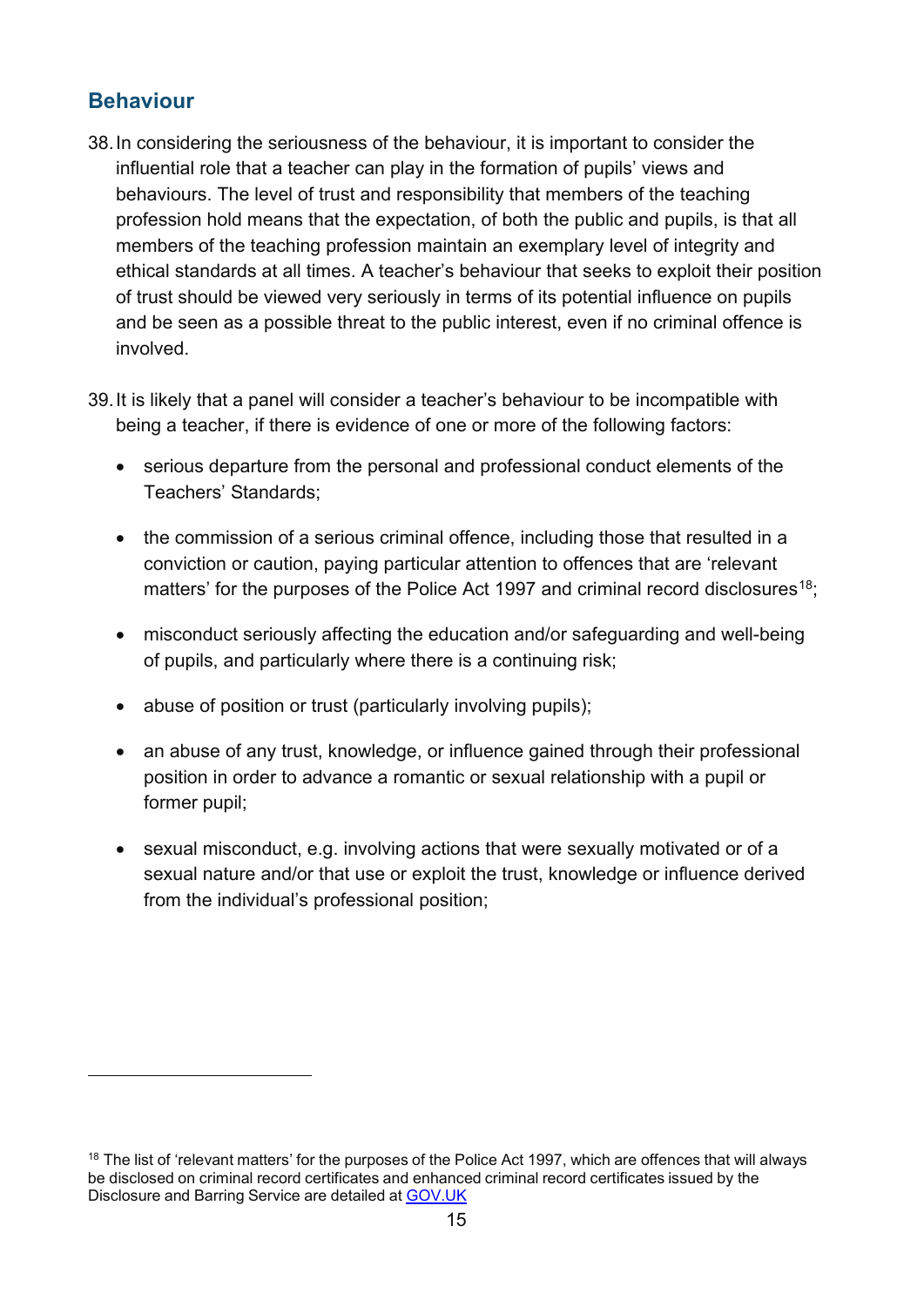#### <span id="page-14-0"></span>**Behaviour**

- 38.In considering the seriousness of the behaviour, it is important to consider the influential role that a teacher can play in the formation of pupils' views and behaviours. The level of trust and responsibility that members of the teaching profession hold means that the expectation, of both the public and pupils, is that all members of the teaching profession maintain an exemplary level of integrity and ethical standards at all times. A teacher's behaviour that seeks to exploit their position of trust should be viewed very seriously in terms of its potential influence on pupils and be seen as a possible threat to the public interest, even if no criminal offence is involved.
- 39.It is likely that a panel will consider a teacher's behaviour to be incompatible with being a teacher, if there is evidence of one or more of the following factors:
	- serious departure from the personal and professional conduct elements of the Teachers' Standards;
	- the commission of a serious criminal offence, including those that resulted in a conviction or caution, paying particular attention to offences that are 'relevant matters' for the purposes of the Police Act 1997 and criminal record disclosures<sup>18</sup>;
	- misconduct seriously affecting the education and/or safeguarding and well-being of pupils, and particularly where there is a continuing risk;
	- abuse of position or trust (particularly involving pupils);
	- an abuse of any trust, knowledge, or influence gained through their professional position in order to advance a romantic or sexual relationship with a pupil or former pupil;
	- sexual misconduct, e.g. involving actions that were sexually motivated or of a sexual nature and/or that use or exploit the trust, knowledge or influence derived from the individual's professional position;

<span id="page-14-1"></span><sup>&</sup>lt;sup>18</sup> The list of 'relevant matters' for the purposes of the Police Act 1997, which are offences that will always be disclosed on criminal record certificates and enhanced criminal record certificates issued by the Disclosure and Barring Service are detailed at [GOV.UK](https://www.gov.uk/government/publications/dbs-list-of-offences-that-will-never-be-filtered-from-a-criminal-record-check)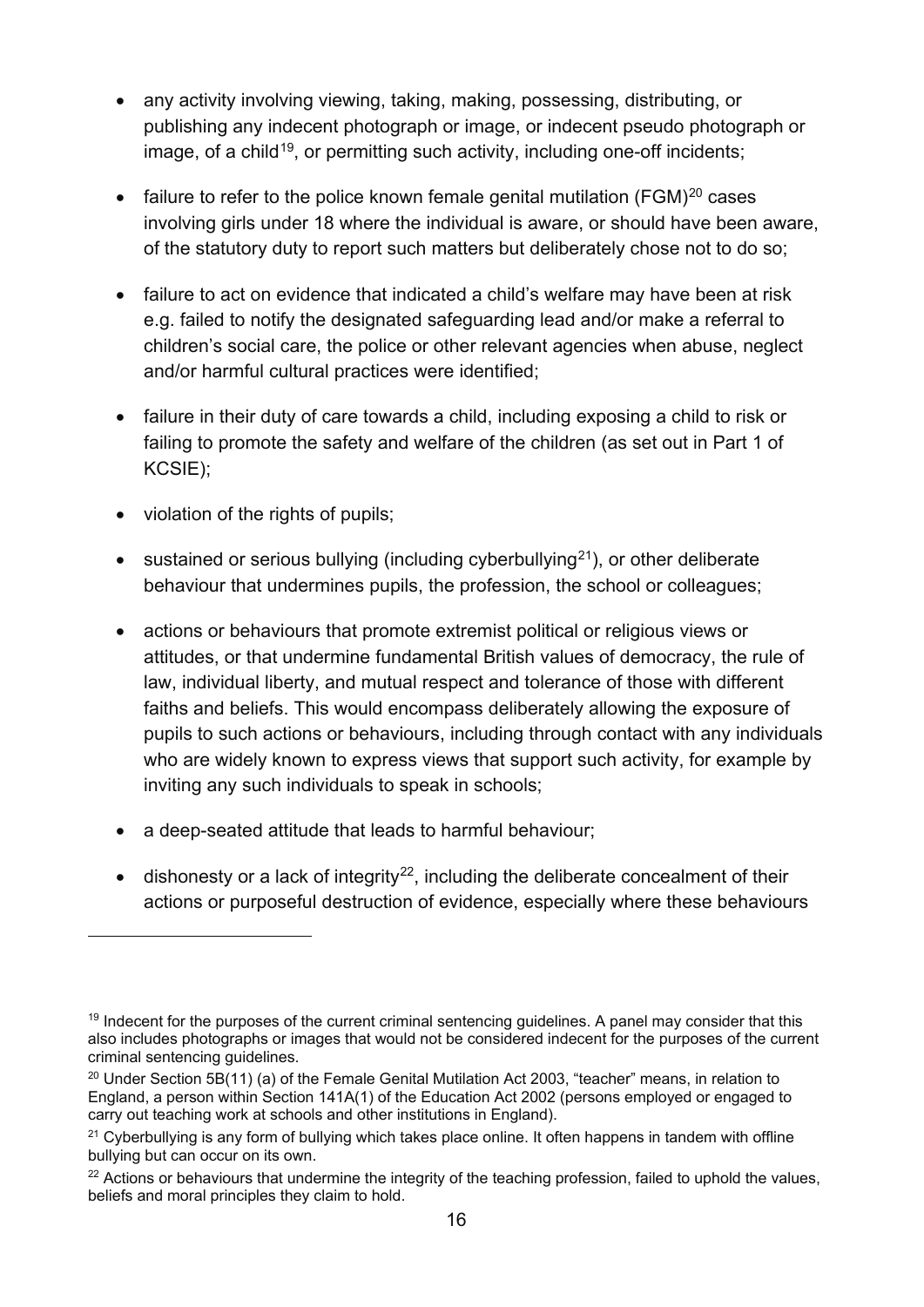- any activity involving viewing, taking, making, possessing, distributing, or publishing any indecent photograph or image, or indecent pseudo photograph or image, of a child<sup>19</sup>, or permitting such activity, including one-off incidents;
- failure to refer to the police known female genital mutilation ( $FGM$ )<sup>20</sup> cases involving girls under 18 where the individual is aware, or should have been aware, of the statutory duty to report such matters but deliberately chose not to do so;
- failure to act on evidence that indicated a child's welfare may have been at risk e.g. failed to notify the designated safeguarding lead and/or make a referral to children's social care, the police or other relevant agencies when abuse, neglect and/or harmful cultural practices were identified;
- failure in their duty of care towards a child, including exposing a child to risk or failing to promote the safety and welfare of the children (as set out in Part 1 of KCSIE);
- violation of the rights of pupils;
- sustained or serious bullying (including cyberbullying<sup>21</sup>), or other deliberate behaviour that undermines pupils, the profession, the school or colleagues;
- actions or behaviours that promote extremist political or religious views or attitudes, or that undermine fundamental British values of democracy, the rule of law, individual liberty, and mutual respect and tolerance of those with different faiths and beliefs. This would encompass deliberately allowing the exposure of pupils to such actions or behaviours, including through contact with any individuals who are widely known to express views that support such activity, for example by inviting any such individuals to speak in schools;
- a deep-seated attitude that leads to harmful behaviour;
- dishonesty or a lack of integrity<sup>22</sup>, including the deliberate concealment of their actions or purposeful destruction of evidence, especially where these behaviours

<sup>&</sup>lt;sup>19</sup> Indecent for the purposes of the current criminal sentencing guidelines. A panel may consider that this also includes photographs or images that would not be considered indecent for the purposes of the current criminal sentencing guidelines.

<sup>&</sup>lt;sup>20</sup> Under Section 5B(11) (a) of the Female Genital Mutilation Act 2003, "teacher" means, in relation to England, a person within Section 141A(1) of the Education Act 2002 (persons employed or engaged to carry out teaching work at schools and other institutions in England).

 $21$  Cyberbullying is any form of bullying which takes place online. It often happens in tandem with offline bullying but can occur on its own.

<sup>&</sup>lt;sup>22</sup> Actions or behaviours that undermine the integrity of the teaching profession, failed to uphold the values, beliefs and moral principles they claim to hold.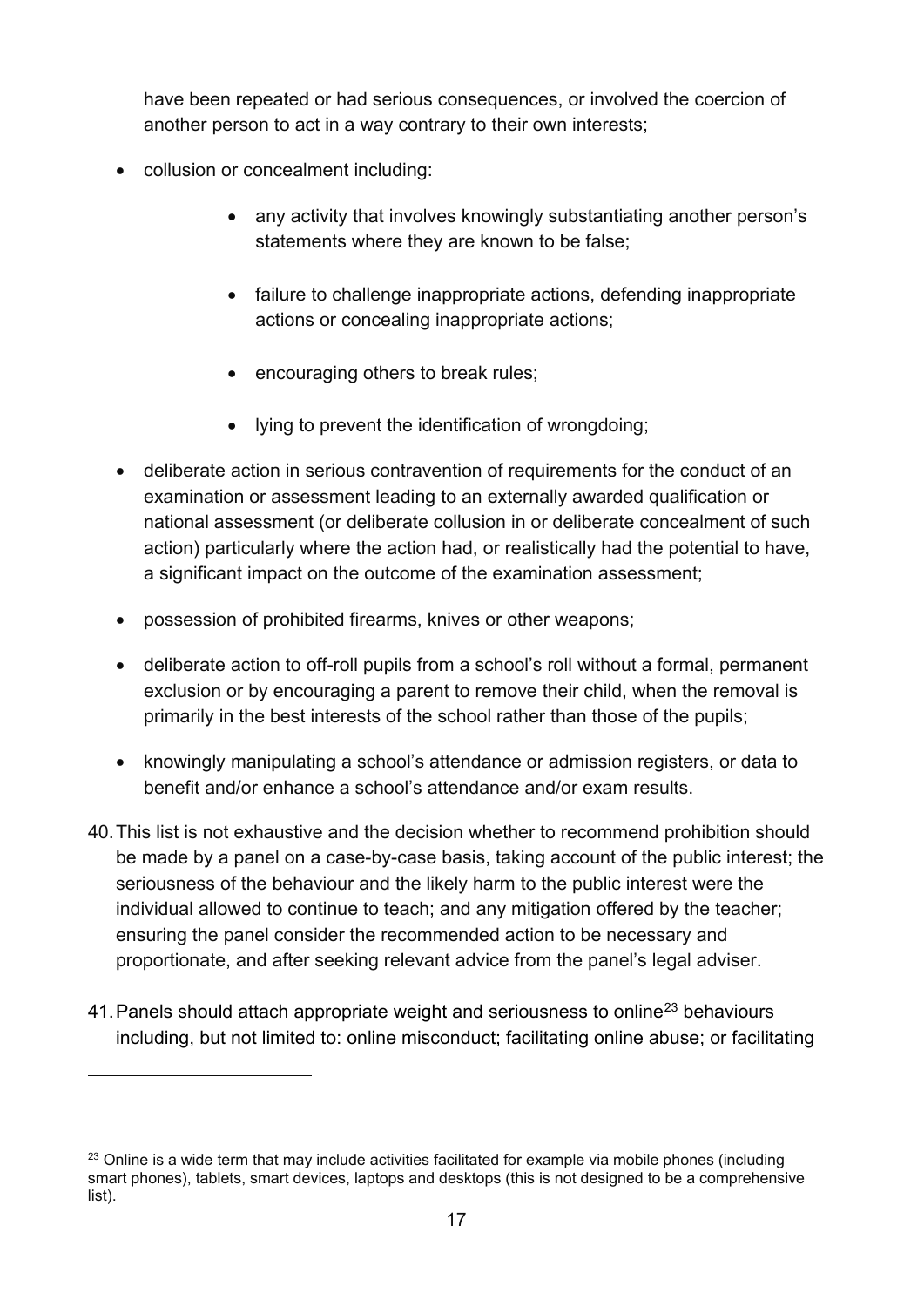have been repeated or had serious consequences, or involved the coercion of another person to act in a way contrary to their own interests;

- collusion or concealment including:
	- any activity that involves knowingly substantiating another person's statements where they are known to be false;
	- failure to challenge inappropriate actions, defending inappropriate actions or concealing inappropriate actions;
	- encouraging others to break rules;
	- lying to prevent the identification of wrongdoing;
- deliberate action in serious contravention of requirements for the conduct of an examination or assessment leading to an externally awarded qualification or national assessment (or deliberate collusion in or deliberate concealment of such action) particularly where the action had, or realistically had the potential to have, a significant impact on the outcome of the examination assessment;
- possession of prohibited firearms, knives or other weapons;
- deliberate action to off-roll pupils from a school's roll without a formal, permanent exclusion or by encouraging a parent to remove their child, when the removal is primarily in the best interests of the school rather than those of the pupils;
- knowingly manipulating a school's attendance or admission registers, or data to benefit and/or enhance a school's attendance and/or exam results.
- 40.This list is not exhaustive and the decision whether to recommend prohibition should be made by a panel on a case-by-case basis, taking account of the public interest; the seriousness of the behaviour and the likely harm to the public interest were the individual allowed to continue to teach; and any mitigation offered by the teacher; ensuring the panel consider the recommended action to be necessary and proportionate, and after seeking relevant advice from the panel's legal adviser.
- 41. Panels should attach appropriate weight and seriousness to online<sup>[23](#page-16-0)</sup> behaviours including, but not limited to: online misconduct; facilitating online abuse; or facilitating

<span id="page-16-0"></span> $23$  Online is a wide term that may include activities facilitated for example via mobile phones (including smart phones), tablets, smart devices, laptops and desktops (this is not designed to be a comprehensive list).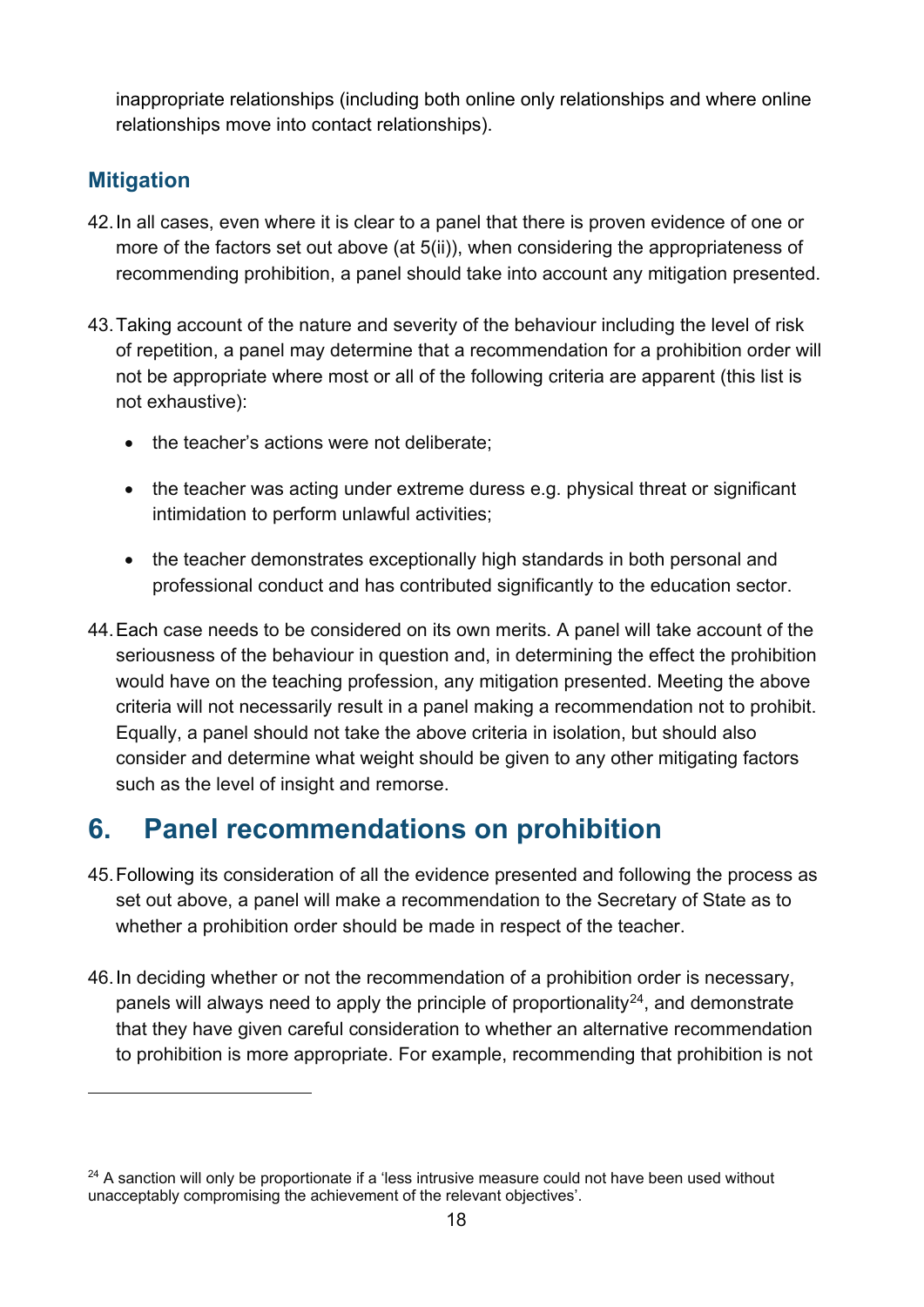inappropriate relationships (including both online only relationships and where online relationships move into contact relationships).

#### <span id="page-17-0"></span>**Mitigation**

- 42.In all cases, even where it is clear to a panel that there is proven evidence of one or more of the factors set out above (at 5(ii)), when considering the appropriateness of recommending prohibition, a panel should take into account any mitigation presented.
- 43.Taking account of the nature and severity of the behaviour including the level of risk of repetition, a panel may determine that a recommendation for a prohibition order will not be appropriate where most or all of the following criteria are apparent (this list is not exhaustive):
	- the teacher's actions were not deliberate;
	- the teacher was acting under extreme duress e.g. physical threat or significant intimidation to perform unlawful activities;
	- the teacher demonstrates exceptionally high standards in both personal and professional conduct and has contributed significantly to the education sector.
- 44.Each case needs to be considered on its own merits. A panel will take account of the seriousness of the behaviour in question and, in determining the effect the prohibition would have on the teaching profession, any mitigation presented. Meeting the above criteria will not necessarily result in a panel making a recommendation not to prohibit. Equally, a panel should not take the above criteria in isolation, but should also consider and determine what weight should be given to any other mitigating factors such as the level of insight and remorse.

## <span id="page-17-1"></span>**6. Panel recommendations on prohibition**

- 45.Following its consideration of all the evidence presented and following the process as set out above, a panel will make a recommendation to the Secretary of State as to whether a prohibition order should be made in respect of the teacher.
- 46.In deciding whether or not the recommendation of a prohibition order is necessary, panels will always need to apply the principle of proportionality<sup>24</sup>, and demonstrate that they have given careful consideration to whether an alternative recommendation to prohibition is more appropriate. For example, recommending that prohibition is not

<span id="page-17-2"></span><sup>&</sup>lt;sup>24</sup> A sanction will only be proportionate if a 'less intrusive measure could not have been used without unacceptably compromising the achievement of the relevant objectives'.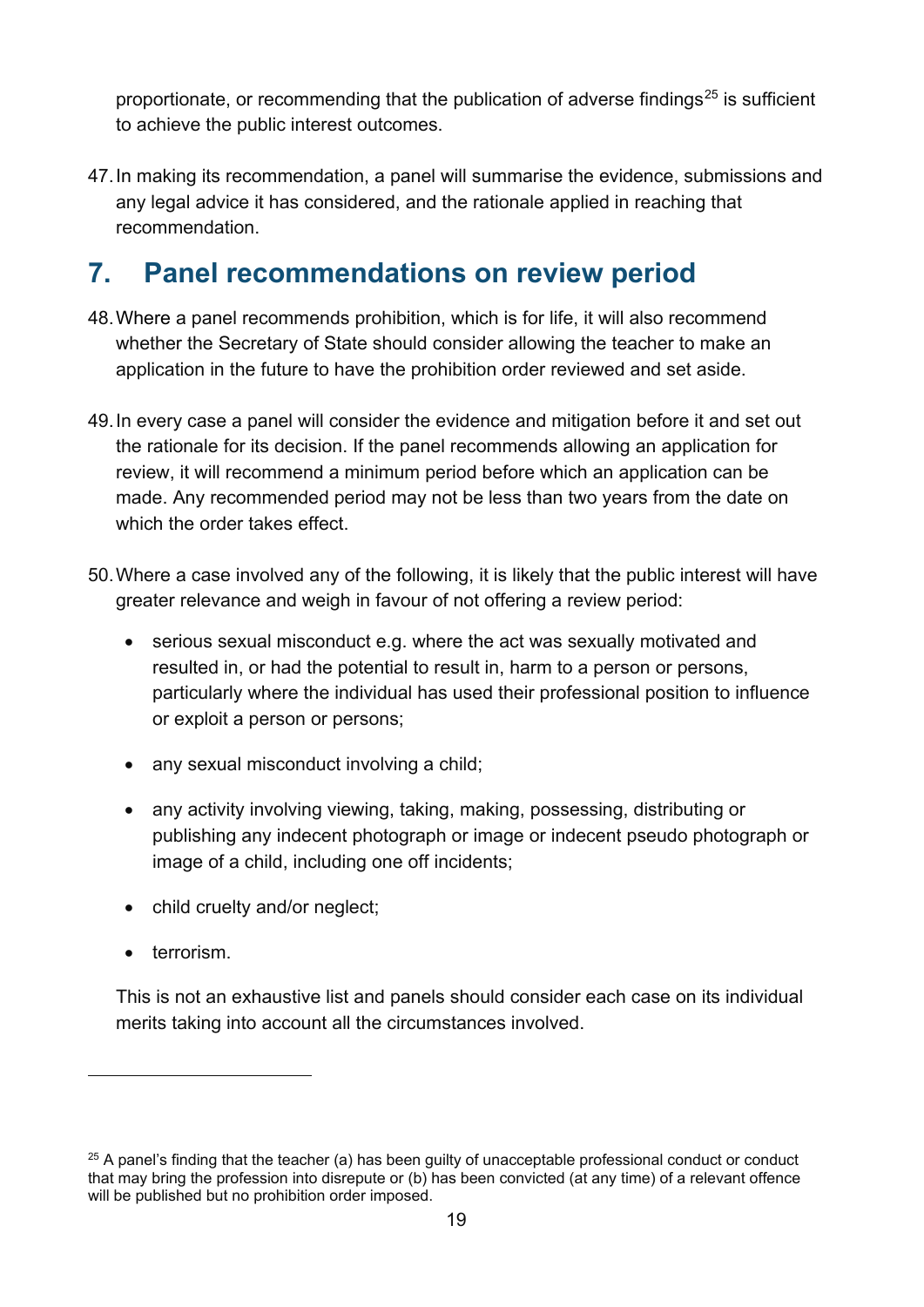proportionate, or recommending that the publication of adverse findings $25$  is sufficient to achieve the public interest outcomes.

47.In making its recommendation, a panel will summarise the evidence, submissions and any legal advice it has considered, and the rationale applied in reaching that recommendation.

# <span id="page-18-0"></span>**7. Panel recommendations on review period**

- 48.Where a panel recommends prohibition, which is for life, it will also recommend whether the Secretary of State should consider allowing the teacher to make an application in the future to have the prohibition order reviewed and set aside.
- 49.In every case a panel will consider the evidence and mitigation before it and set out the rationale for its decision. If the panel recommends allowing an application for review, it will recommend a minimum period before which an application can be made. Any recommended period may not be less than two years from the date on which the order takes effect.
- 50.Where a case involved any of the following, it is likely that the public interest will have greater relevance and weigh in favour of not offering a review period:
	- serious sexual misconduct e.g. where the act was sexually motivated and resulted in, or had the potential to result in, harm to a person or persons, particularly where the individual has used their professional position to influence or exploit a person or persons;
	- any sexual misconduct involving a child;
	- any activity involving viewing, taking, making, possessing, distributing or publishing any indecent photograph or image or indecent pseudo photograph or image of a child, including one off incidents;
	- child cruelty and/or neglect;
	- terrorism.

This is not an exhaustive list and panels should consider each case on its individual merits taking into account all the circumstances involved.

<span id="page-18-1"></span> $25$  A panel's finding that the teacher (a) has been guilty of unacceptable professional conduct or conduct that may bring the profession into disrepute or (b) has been convicted (at any time) of a relevant offence will be published but no prohibition order imposed.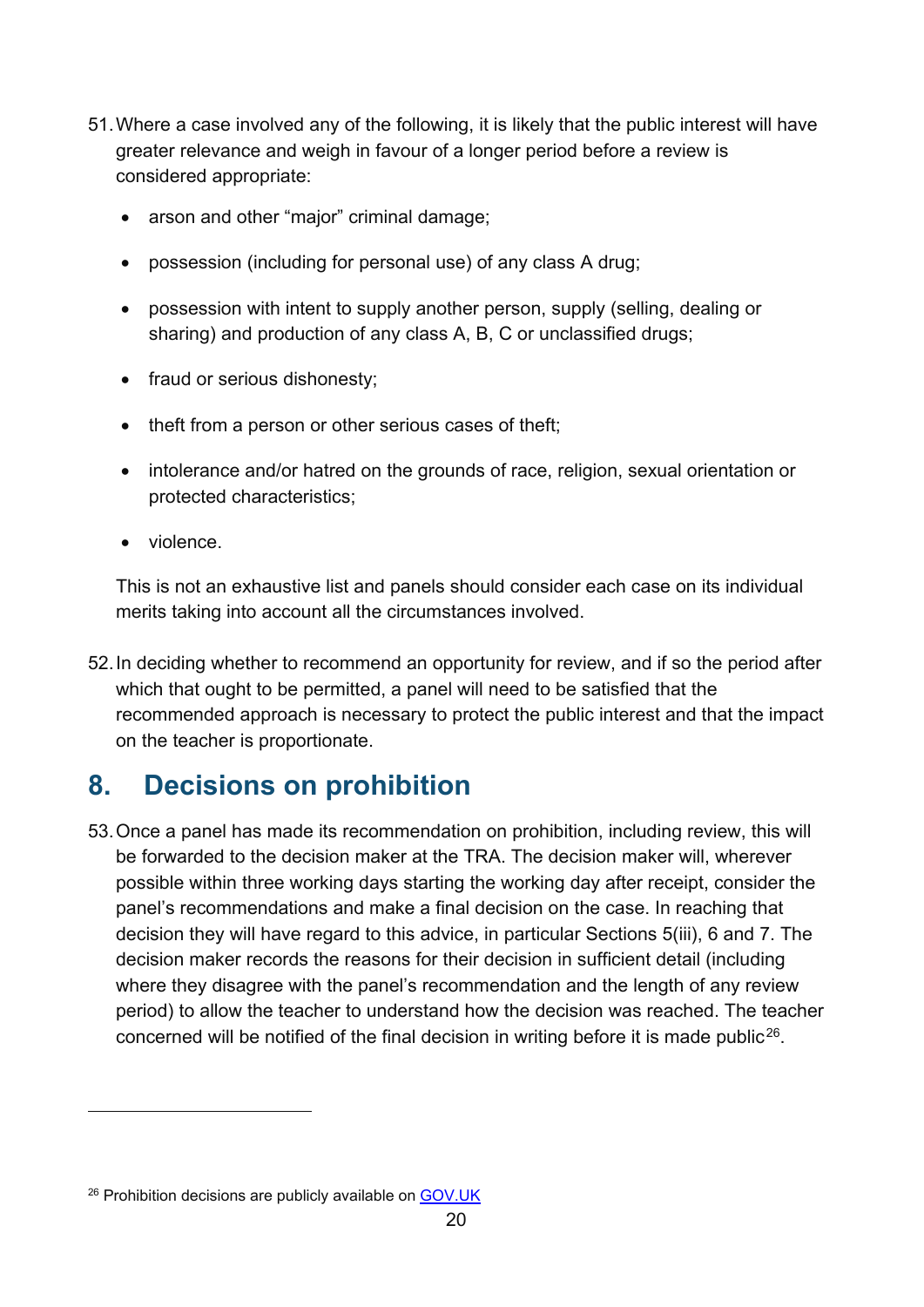- 51.Where a case involved any of the following, it is likely that the public interest will have greater relevance and weigh in favour of a longer period before a review is considered appropriate:
	- arson and other "major" criminal damage;
	- possession (including for personal use) of any class A drug;
	- possession with intent to supply another person, supply (selling, dealing or sharing) and production of any class A, B, C or unclassified drugs;
	- fraud or serious dishonesty;
	- theft from a person or other serious cases of theft;
	- intolerance and/or hatred on the grounds of race, religion, sexual orientation or protected characteristics;
	- violence.

This is not an exhaustive list and panels should consider each case on its individual merits taking into account all the circumstances involved.

52.In deciding whether to recommend an opportunity for review, and if so the period after which that ought to be permitted, a panel will need to be satisfied that the recommended approach is necessary to protect the public interest and that the impact on the teacher is proportionate.

## <span id="page-19-0"></span>**8. Decisions on prohibition**

53.Once a panel has made its recommendation on prohibition, including review, this will be forwarded to the decision maker at the TRA. The decision maker will, wherever possible within three working days starting the working day after receipt, consider the panel's recommendations and make a final decision on the case. In reaching that decision they will have regard to this advice, in particular Sections 5(iii), 6 and 7. The decision maker records the reasons for their decision in sufficient detail (including where they disagree with the panel's recommendation and the length of any review period) to allow the teacher to understand how the decision was reached. The teacher concerned will be notified of the final decision in writing before it is made public<sup>26</sup>.

<span id="page-19-1"></span><sup>&</sup>lt;sup>26</sup> Prohibition decisions are publicly available o[n GOV.UK](https://www.gov.uk/search/all?parent=&keywords=panel+outcome+misconduct&level_one_taxon=&manual=&organisations%5B%5D=teaching-regulation-agency&organisations%5B%5D=national-college-for-teaching-and-leadership&public_timestamp%5Bfrom%5D=&public_timestamp%5Bto%5D=&order=updated-newest)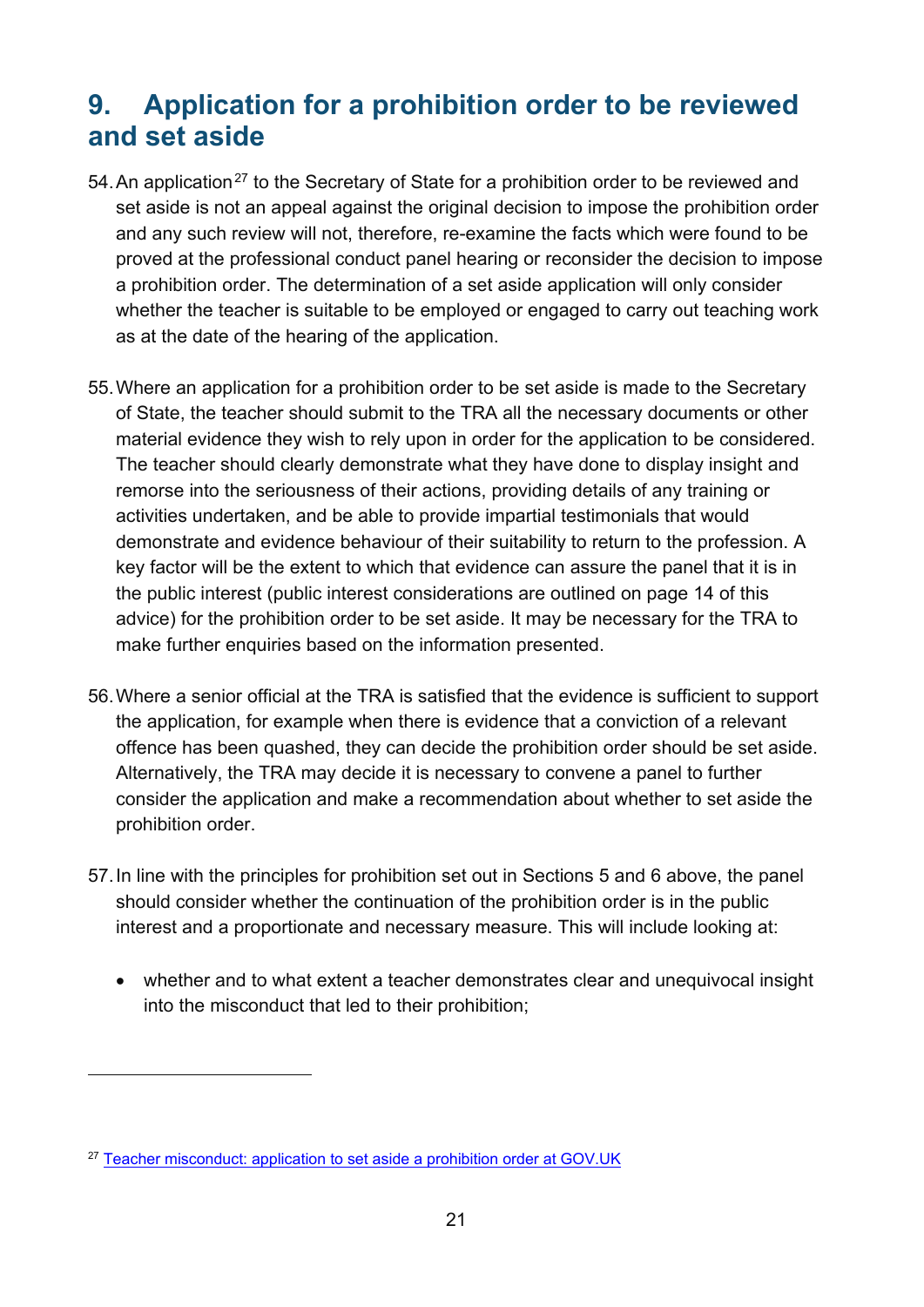## <span id="page-20-0"></span>**9. Application for a prohibition order to be reviewed and set aside**

- 54. An application<sup>[27](#page-20-1)</sup> to the Secretary of State for a prohibition order to be reviewed and set aside is not an appeal against the original decision to impose the prohibition order and any such review will not, therefore, re-examine the facts which were found to be proved at the professional conduct panel hearing or reconsider the decision to impose a prohibition order. The determination of a set aside application will only consider whether the teacher is suitable to be employed or engaged to carry out teaching work as at the date of the hearing of the application.
- 55.Where an application for a prohibition order to be set aside is made to the Secretary of State, the teacher should submit to the TRA all the necessary documents or other material evidence they wish to rely upon in order for the application to be considered. The teacher should clearly demonstrate what they have done to display insight and remorse into the seriousness of their actions, providing details of any training or activities undertaken, and be able to provide impartial testimonials that would demonstrate and evidence behaviour of their suitability to return to the profession. A key factor will be the extent to which that evidence can assure the panel that it is in the public interest (public interest considerations are outlined on page 14 of this advice) for the prohibition order to be set aside. It may be necessary for the TRA to make further enquiries based on the information presented.
- 56.Where a senior official at the TRA is satisfied that the evidence is sufficient to support the application, for example when there is evidence that a conviction of a relevant offence has been quashed, they can decide the prohibition order should be set aside. Alternatively, the TRA may decide it is necessary to convene a panel to further consider the application and make a recommendation about whether to set aside the prohibition order.
- 57.In line with the principles for prohibition set out in Sections 5 and 6 above, the panel should consider whether the continuation of the prohibition order is in the public interest and a proportionate and necessary measure. This will include looking at:
	- whether and to what extent a teacher demonstrates clear and unequivocal insight into the misconduct that led to their prohibition;

<span id="page-20-1"></span><sup>&</sup>lt;sup>27</sup> [Teacher misconduct: application to set aside a prohibition order at GOV.UK](https://www.gov.uk/government/publications/teacher-misconduct-application-for-an-order-to-be-set-aside)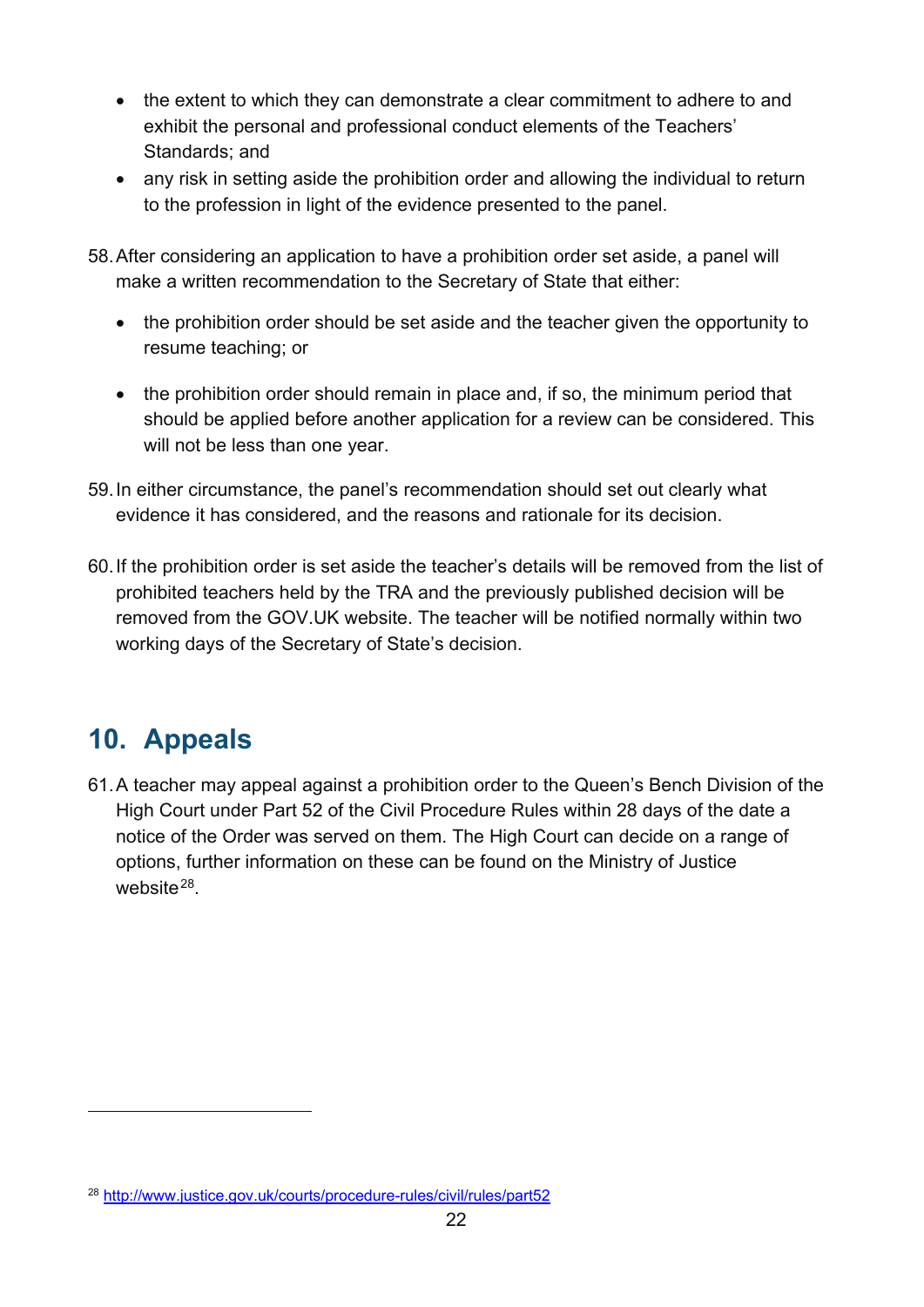- the extent to which they can demonstrate a clear commitment to adhere to and exhibit the personal and professional conduct elements of the Teachers' Standards; and
- any risk in setting aside the prohibition order and allowing the individual to return to the profession in light of the evidence presented to the panel.
- 58.After considering an application to have a prohibition order set aside, a panel will make a written recommendation to the Secretary of State that either:
	- the prohibition order should be set aside and the teacher given the opportunity to resume teaching; or
	- the prohibition order should remain in place and, if so, the minimum period that should be applied before another application for a review can be considered. This will not be less than one year.
- 59.In either circumstance, the panel's recommendation should set out clearly what evidence it has considered, and the reasons and rationale for its decision.
- 60.If the prohibition order is set aside the teacher's details will be removed from the list of prohibited teachers held by the TRA and the previously published decision will be removed from the GOV.UK website. The teacher will be notified normally within two working days of the Secretary of State's decision.

# <span id="page-21-0"></span>**10. Appeals**

61.A teacher may appeal against a prohibition order to the Queen's Bench Division of the High Court under Part 52 of the Civil Procedure Rules within 28 days of the date a notice of the Order was served on them. The High Court can decide on a range of options, further information on these can be found on the Ministry of Justice website $28$ .

<span id="page-21-1"></span><sup>28</sup> <http://www.justice.gov.uk/courts/procedure-rules/civil/rules/part52>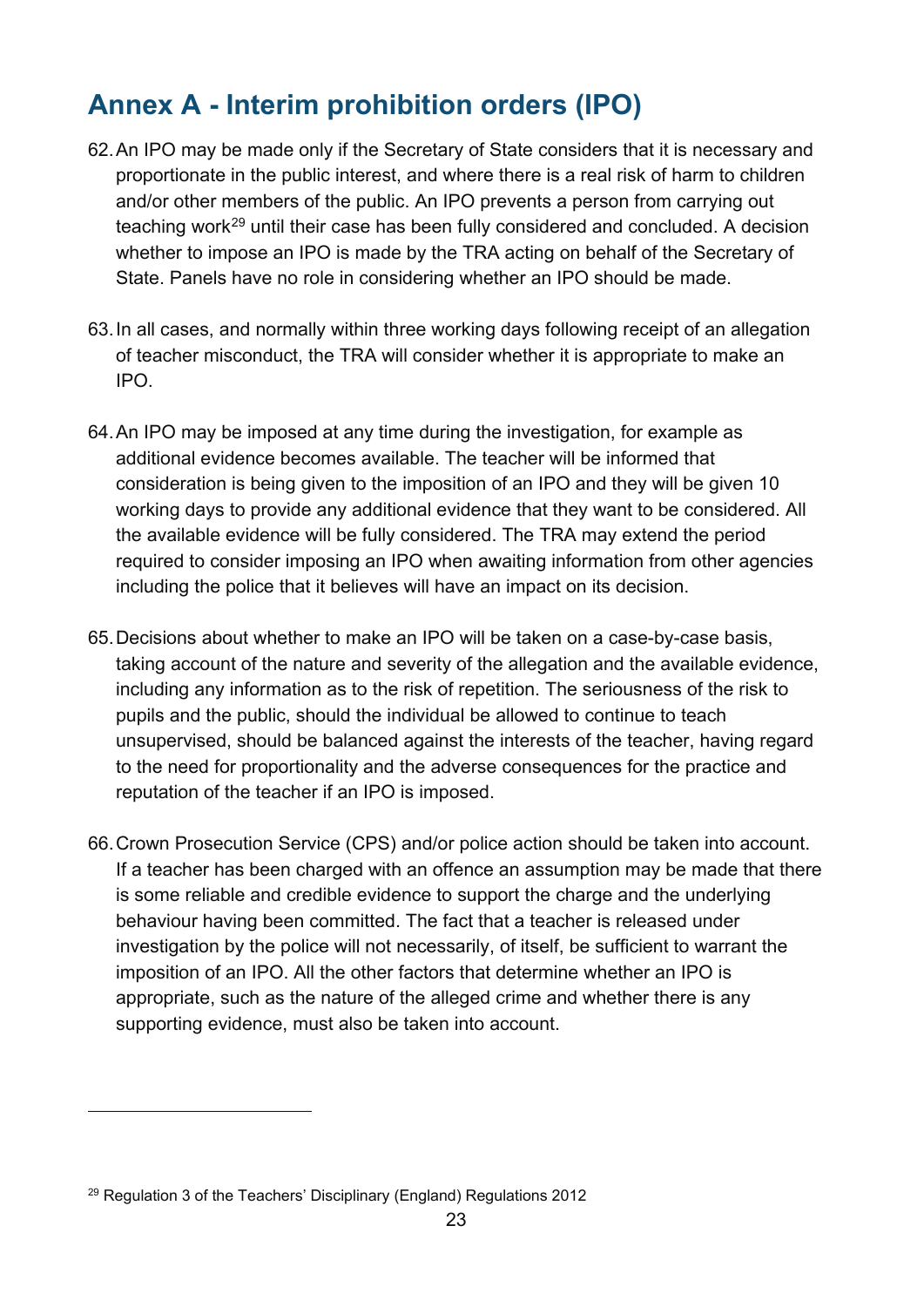# <span id="page-22-0"></span>**Annex A - Interim prohibition orders (IPO)**

- 62.An IPO may be made only if the Secretary of State considers that it is necessary and proportionate in the public interest, and where there is a real risk of harm to children and/or other members of the public. An IPO prevents a person from carrying out teaching work[29](#page-22-1) until their case has been fully considered and concluded. A decision whether to impose an IPO is made by the TRA acting on behalf of the Secretary of State. Panels have no role in considering whether an IPO should be made.
- 63.In all cases, and normally within three working days following receipt of an allegation of teacher misconduct, the TRA will consider whether it is appropriate to make an IPO.
- 64.An IPO may be imposed at any time during the investigation, for example as additional evidence becomes available. The teacher will be informed that consideration is being given to the imposition of an IPO and they will be given 10 working days to provide any additional evidence that they want to be considered. All the available evidence will be fully considered. The TRA may extend the period required to consider imposing an IPO when awaiting information from other agencies including the police that it believes will have an impact on its decision.
- 65.Decisions about whether to make an IPO will be taken on a case-by-case basis, taking account of the nature and severity of the allegation and the available evidence, including any information as to the risk of repetition. The seriousness of the risk to pupils and the public, should the individual be allowed to continue to teach unsupervised, should be balanced against the interests of the teacher, having regard to the need for proportionality and the adverse consequences for the practice and reputation of the teacher if an IPO is imposed.
- 66.Crown Prosecution Service (CPS) and/or police action should be taken into account. If a teacher has been charged with an offence an assumption may be made that there is some reliable and credible evidence to support the charge and the underlying behaviour having been committed. The fact that a teacher is released under investigation by the police will not necessarily, of itself, be sufficient to warrant the imposition of an IPO. All the other factors that determine whether an IPO is appropriate, such as the nature of the alleged crime and whether there is any supporting evidence, must also be taken into account.

<span id="page-22-1"></span><sup>&</sup>lt;sup>29</sup> Regulation 3 of the Teachers' Disciplinary (England) Regulations 2012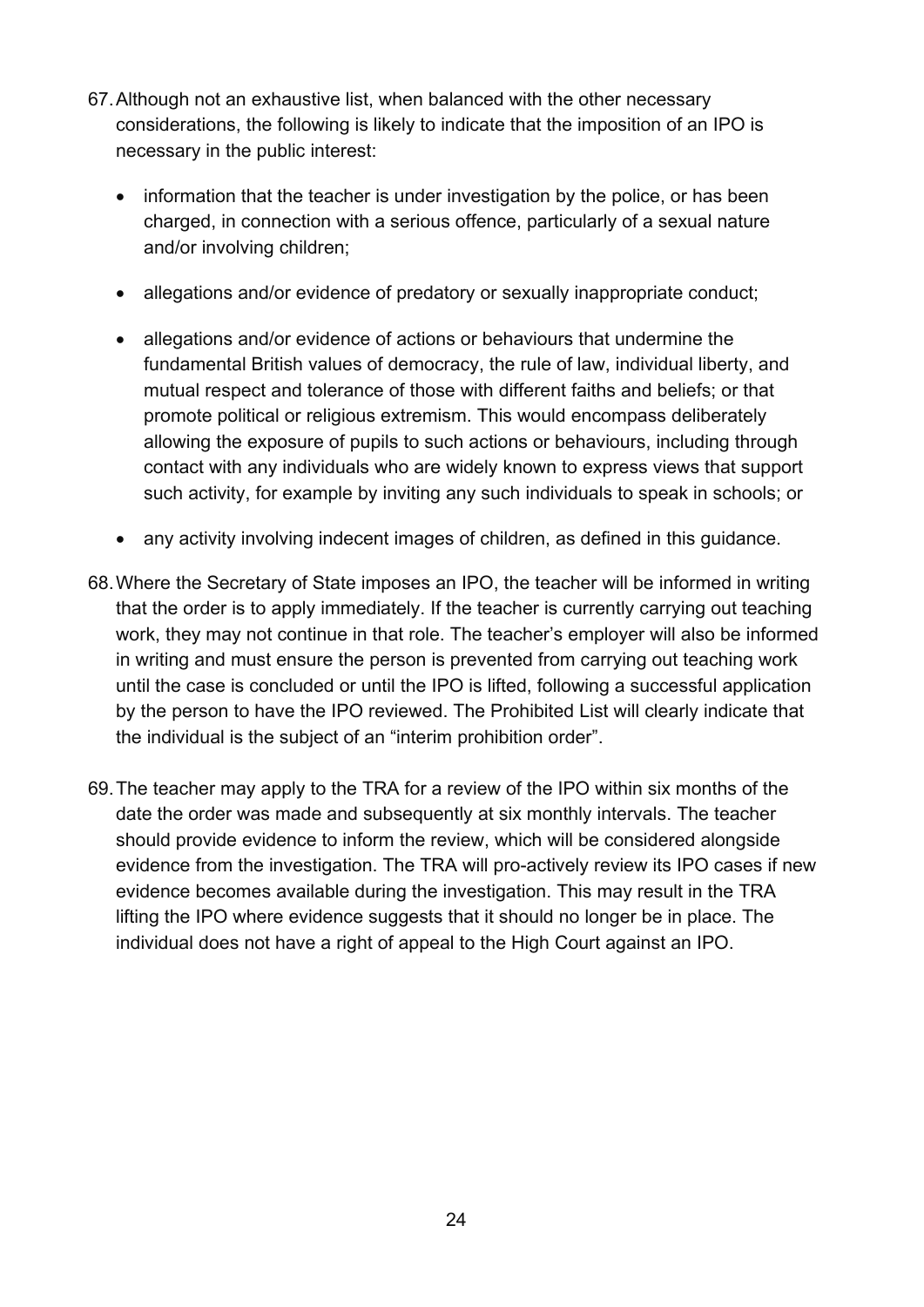- 67.Although not an exhaustive list, when balanced with the other necessary considerations, the following is likely to indicate that the imposition of an IPO is necessary in the public interest:
	- information that the teacher is under investigation by the police, or has been charged, in connection with a serious offence, particularly of a sexual nature and/or involving children;
	- allegations and/or evidence of predatory or sexually inappropriate conduct;
	- allegations and/or evidence of actions or behaviours that undermine the fundamental British values of democracy, the rule of law, individual liberty, and mutual respect and tolerance of those with different faiths and beliefs; or that promote political or religious extremism. This would encompass deliberately allowing the exposure of pupils to such actions or behaviours, including through contact with any individuals who are widely known to express views that support such activity, for example by inviting any such individuals to speak in schools; or
	- any activity involving indecent images of children, as defined in this guidance.
- 68.Where the Secretary of State imposes an IPO, the teacher will be informed in writing that the order is to apply immediately. If the teacher is currently carrying out teaching work, they may not continue in that role. The teacher's employer will also be informed in writing and must ensure the person is prevented from carrying out teaching work until the case is concluded or until the IPO is lifted, following a successful application by the person to have the IPO reviewed. The Prohibited List will clearly indicate that the individual is the subject of an "interim prohibition order".
- 69.The teacher may apply to the TRA for a review of the IPO within six months of the date the order was made and subsequently at six monthly intervals. The teacher should provide evidence to inform the review, which will be considered alongside evidence from the investigation. The TRA will pro-actively review its IPO cases if new evidence becomes available during the investigation. This may result in the TRA lifting the IPO where evidence suggests that it should no longer be in place. The individual does not have a right of appeal to the High Court against an IPO.